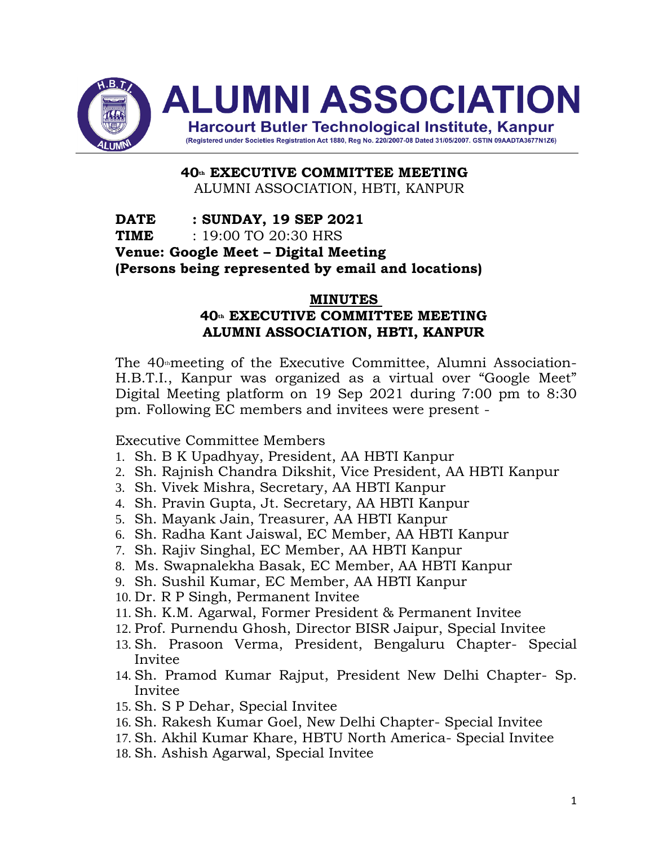

**40th EXECUTIVE COMMITTEE MEETING** ALUMNI ASSOCIATION, HBTI, KANPUR

#### **DATE : SUNDAY, 19 SEP 2021 TIME** : 19:00 TO 20:30 HRS **Venue: Google Meet – Digital Meeting (Persons being represented by email and locations)**

#### **MINUTES**

#### **40th EXECUTIVE COMMITTEE MEETING ALUMNI ASSOCIATION, HBTI, KANPUR**

The  $40<sub>th</sub>$  meeting of the Executive Committee, Alumni Association-H.B.T.I., Kanpur was organized as a virtual over "Google Meet" Digital Meeting platform on 19 Sep 2021 during 7:00 pm to 8:30 pm. Following EC members and invitees were present -

Executive Committee Members

- 1. Sh. B K Upadhyay, President, AA HBTI Kanpur
- 2. Sh. Rajnish Chandra Dikshit, Vice President, AA HBTI Kanpur
- 3. Sh. Vivek Mishra, Secretary, AA HBTI Kanpur
- 4. Sh. Pravin Gupta, Jt. Secretary, AA HBTI Kanpur
- 5. Sh. Mayank Jain, Treasurer, AA HBTI Kanpur
- 6. Sh. Radha Kant Jaiswal, EC Member, AA HBTI Kanpur
- 7. Sh. Rajiv Singhal, EC Member, AA HBTI Kanpur
- 8. Ms. Swapnalekha Basak, EC Member, AA HBTI Kanpur
- 9. Sh. Sushil Kumar, EC Member, AA HBTI Kanpur
- 10. Dr. R P Singh, Permanent Invitee
- 11. Sh. K.M. Agarwal, Former President & Permanent Invitee
- 12. Prof. Purnendu Ghosh, Director BISR Jaipur, Special Invitee
- 13. Sh. Prasoon Verma, President, Bengaluru Chapter- Special Invitee
- 14. Sh. Pramod Kumar Rajput, President New Delhi Chapter- Sp. Invitee
- 15. Sh. S P Dehar, Special Invitee
- 16. Sh. Rakesh Kumar Goel, New Delhi Chapter- Special Invitee
- 17. Sh. Akhil Kumar Khare, HBTU North America- Special Invitee
- 18. Sh. Ashish Agarwal, Special Invitee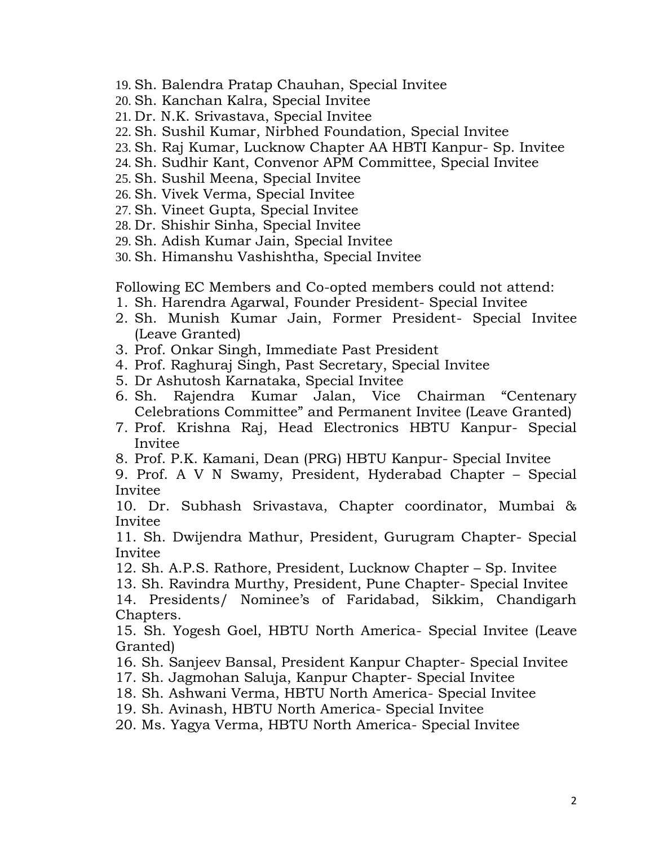- 19. Sh. Balendra Pratap Chauhan, Special Invitee
- 20. Sh. Kanchan Kalra, Special Invitee
- 21. Dr. N.K. Srivastava, Special Invitee
- 22. Sh. Sushil Kumar, Nirbhed Foundation, Special Invitee
- 23. Sh. Raj Kumar, Lucknow Chapter AA HBTI Kanpur- Sp. Invitee
- 24. Sh. Sudhir Kant, Convenor APM Committee, Special Invitee
- 25. Sh. Sushil Meena, Special Invitee
- 26. Sh. Vivek Verma, Special Invitee
- 27. Sh. Vineet Gupta, Special Invitee
- 28. Dr. Shishir Sinha, Special Invitee
- 29. Sh. Adish Kumar Jain, Special Invitee
- 30. Sh. Himanshu Vashishtha, Special Invitee

Following EC Members and Co-opted members could not attend:

- 1. Sh. Harendra Agarwal, Founder President- Special Invitee
- 2. Sh. Munish Kumar Jain, Former President- Special Invitee (Leave Granted)
- 3. Prof. Onkar Singh, Immediate Past President
- 4. Prof. Raghuraj Singh, Past Secretary, Special Invitee
- 5. Dr Ashutosh Karnataka, Special Invitee
- 6. Sh. Rajendra Kumar Jalan, Vice Chairman "Centenary Celebrations Committee" and Permanent Invitee (Leave Granted)
- 7. Prof. Krishna Raj, Head Electronics HBTU Kanpur- Special Invitee
- 8. Prof. P.K. Kamani, Dean (PRG) HBTU Kanpur- Special Invitee
- 9. Prof. A V N Swamy, President, Hyderabad Chapter Special Invitee

10. Dr. Subhash Srivastava, Chapter coordinator, Mumbai & Invitee

11. Sh. Dwijendra Mathur, President, Gurugram Chapter- Special Invitee

- 12. Sh. A.P.S. Rathore, President, Lucknow Chapter Sp. Invitee
- 13. Sh. Ravindra Murthy, President, Pune Chapter- Special Invitee

14. Presidents/ Nominee's of Faridabad, Sikkim, Chandigarh Chapters.

15. Sh. Yogesh Goel, HBTU North America- Special Invitee (Leave Granted)

- 16. Sh. Sanjeev Bansal, President Kanpur Chapter- Special Invitee
- 17. Sh. Jagmohan Saluja, Kanpur Chapter- Special Invitee
- 18. Sh. Ashwani Verma, HBTU North America- Special Invitee
- 19. Sh. Avinash, HBTU North America- Special Invitee
- 20. Ms. Yagya Verma, HBTU North America- Special Invitee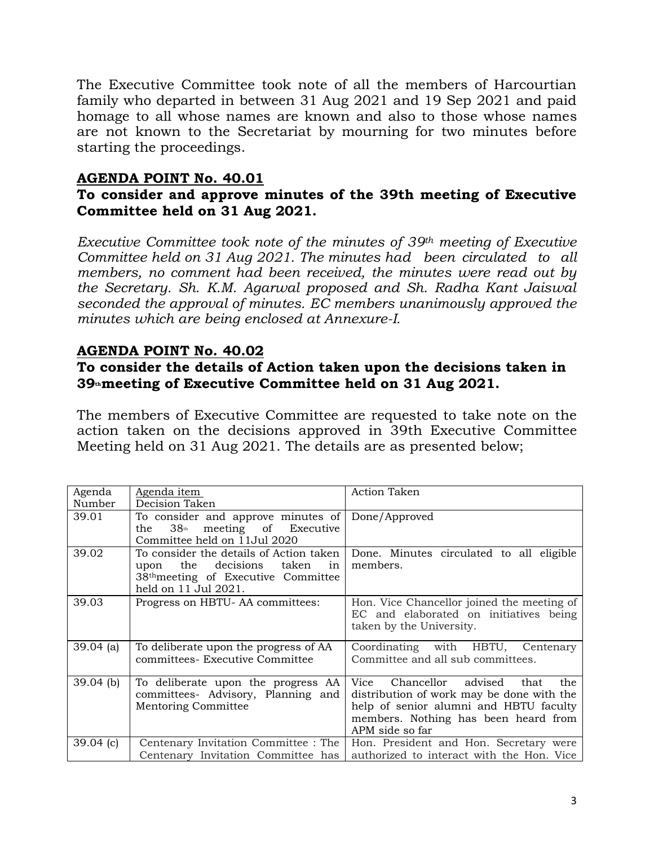The Executive Committee took note of all the members of Harcourtian family who departed in between 31 Aug 2021 and 19 Sep 2021 and paid homage to all whose names are known and also to those whose names are not known to the Secretariat by mourning for two minutes before starting the proceedings.

#### **AGENDA POINT No. 40.01**

#### **To consider and approve minutes of the 39th meeting of Executive Committee held on 31 Aug 2021.**

*Executive Committee took note of the minutes of 39th meeting of Executive Committee held on 31 Aug 2021. The minutes had been circulated to all members, no comment had been received, the minutes were read out by the Secretary. Sh. K.M. Agarwal proposed and Sh. Radha Kant Jaiswal seconded the approval of minutes. EC members unanimously approved the minutes which are being enclosed at Annexure-I.*

#### **AGENDA POINT No. 40.02**

#### **To consider the details of Action taken upon the decisions taken in 39thmeeting of Executive Committee held on 31 Aug 2021.**

The members of Executive Committee are requested to take note on the action taken on the decisions approved in 39th Executive Committee Meeting held on 31 Aug 2021. The details are as presented below;

| Agenda<br>Number | Agenda item<br>Decision Taken                                                                                                                           | Action Taken                                                                                                                                                                                |
|------------------|---------------------------------------------------------------------------------------------------------------------------------------------------------|---------------------------------------------------------------------------------------------------------------------------------------------------------------------------------------------|
| 39.01            | To consider and approve minutes of<br>$38$ th<br>meeting of Executive<br>the<br>Committee held on 11 Jul 2020                                           | Done/Approved                                                                                                                                                                               |
| 39.02            | To consider the details of Action taken<br>the decisions taken<br>in<br>upon<br>38 <sup>th</sup> meeting of Executive Committee<br>held on 11 Jul 2021. | Done. Minutes circulated to all eligible<br>members.                                                                                                                                        |
| 39.03            | Progress on HBTU-AA committees:                                                                                                                         | Hon. Vice Chancellor joined the meeting of<br>EC and elaborated on initiatives being<br>taken by the University.                                                                            |
| $39.04$ (a)      | To deliberate upon the progress of AA<br>committees- Executive Committee                                                                                | Coordinating with HBTU, Centenary<br>Committee and all sub committees.                                                                                                                      |
| $39.04$ (b)      | To deliberate upon the progress AA<br>committees- Advisory, Planning and<br><b>Mentoring Committee</b>                                                  | Chancellor advised<br>Vice<br>that<br>the<br>distribution of work may be done with the<br>help of senior alumni and HBTU faculty<br>members. Nothing has been heard from<br>APM side so far |
| $39.04$ (c)      | Centenary Invitation Committee : The<br>Centenary Invitation Committee has                                                                              | Hon. President and Hon. Secretary were<br>authorized to interact with the Hon. Vice                                                                                                         |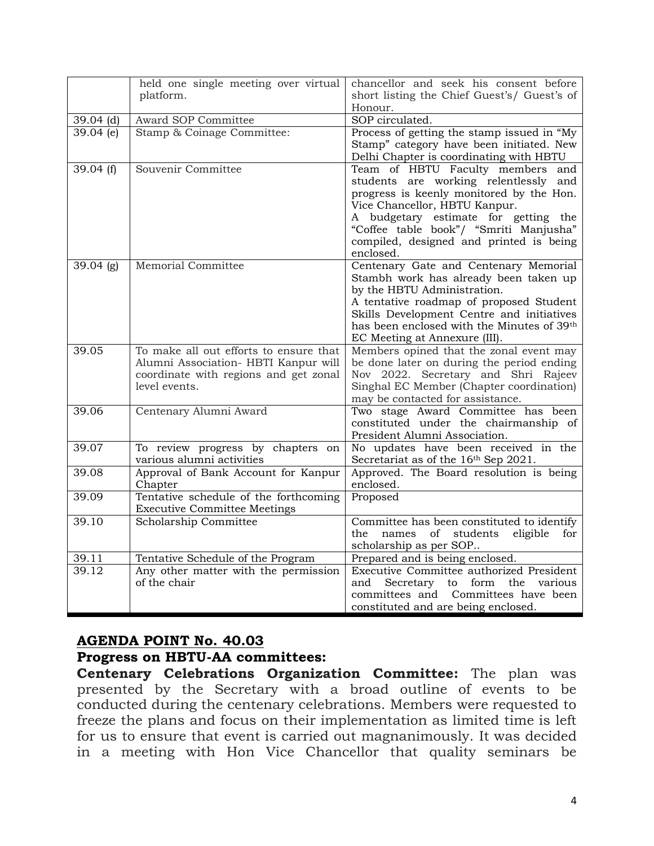|                        | held one single meeting over virtual                                          | chancellor and seek his consent before                                           |
|------------------------|-------------------------------------------------------------------------------|----------------------------------------------------------------------------------|
|                        | platform.                                                                     | short listing the Chief Guest's/ Guest's of<br>Honour.                           |
| $39.04$ (d)            | Award SOP Committee                                                           | SOP circulated.                                                                  |
| $\overline{39.04}$ (e) | Stamp & Coinage Committee:                                                    | Process of getting the stamp issued in "My                                       |
|                        |                                                                               | Stamp" category have been initiated. New                                         |
|                        |                                                                               | Delhi Chapter is coordinating with HBTU                                          |
| 39.04 $(f)$            | Souvenir Committee                                                            | Team of HBTU Faculty members<br>and                                              |
|                        |                                                                               | students are working relentlessly and                                            |
|                        |                                                                               | progress is keenly monitored by the Hon.<br>Vice Chancellor, HBTU Kanpur.        |
|                        |                                                                               | A budgetary estimate for getting the                                             |
|                        |                                                                               | "Coffee table book"/ "Smriti Manjusha"                                           |
|                        |                                                                               | compiled, designed and printed is being                                          |
|                        |                                                                               | enclosed.                                                                        |
| $\overline{39.04}$ (g) | Memorial Committee                                                            | Centenary Gate and Centenary Memorial                                            |
|                        |                                                                               | Stambh work has already been taken up                                            |
|                        |                                                                               | by the HBTU Administration.                                                      |
|                        |                                                                               | A tentative roadmap of proposed Student                                          |
|                        |                                                                               | Skills Development Centre and initiatives                                        |
|                        |                                                                               | has been enclosed with the Minutes of 39th                                       |
|                        |                                                                               | EC Meeting at Annexure (III).                                                    |
| 39.05                  | To make all out efforts to ensure that                                        | Members opined that the zonal event may                                          |
|                        | Alumni Association- HBTI Kanpur will<br>coordinate with regions and get zonal | be done later on during the period ending<br>Nov 2022. Secretary and Shri Rajeev |
|                        | level events.                                                                 | Singhal EC Member (Chapter coordination)                                         |
|                        |                                                                               | may be contacted for assistance.                                                 |
| 39.06                  | Centenary Alumni Award                                                        | Two stage Award Committee has been                                               |
|                        |                                                                               | constituted under the chairmanship of                                            |
|                        |                                                                               | President Alumni Association.                                                    |
| 39.07                  | To review progress by chapters on                                             | No updates have been received in the                                             |
|                        | various alumni activities                                                     | Secretariat as of the 16th Sep 2021.                                             |
| 39.08                  | Approval of Bank Account for Kanpur                                           | Approved. The Board resolution is being                                          |
|                        | Chapter                                                                       | enclosed.                                                                        |
| 39.09                  | Tentative schedule of the forthcoming                                         | Proposed                                                                         |
|                        | <b>Executive Committee Meetings</b>                                           |                                                                                  |
| 39.10                  | Scholarship Committee                                                         | Committee has been constituted to identify                                       |
|                        |                                                                               | the<br>names<br>of<br>students eligible<br>for                                   |
|                        |                                                                               | scholarship as per SOP                                                           |
| 39.11                  | Tentative Schedule of the Program                                             | Prepared and is being enclosed.                                                  |
| 39.12                  | Any other matter with the permission                                          | Executive Committee authorized President                                         |
|                        | of the chair                                                                  | Secretary to form<br>the<br>various<br>and                                       |
|                        |                                                                               | Committees have been<br>committees and                                           |
|                        |                                                                               | constituted and are being enclosed.                                              |

#### **AGENDA POINT No. 40.03**

#### **Progress on HBTU-AA committees:**

**Centenary Celebrations Organization Committee:** The plan was presented by the Secretary with a broad outline of events to be conducted during the centenary celebrations. Members were requested to freeze the plans and focus on their implementation as limited time is left for us to ensure that event is carried out magnanimously. It was decided in a meeting with Hon Vice Chancellor that quality seminars be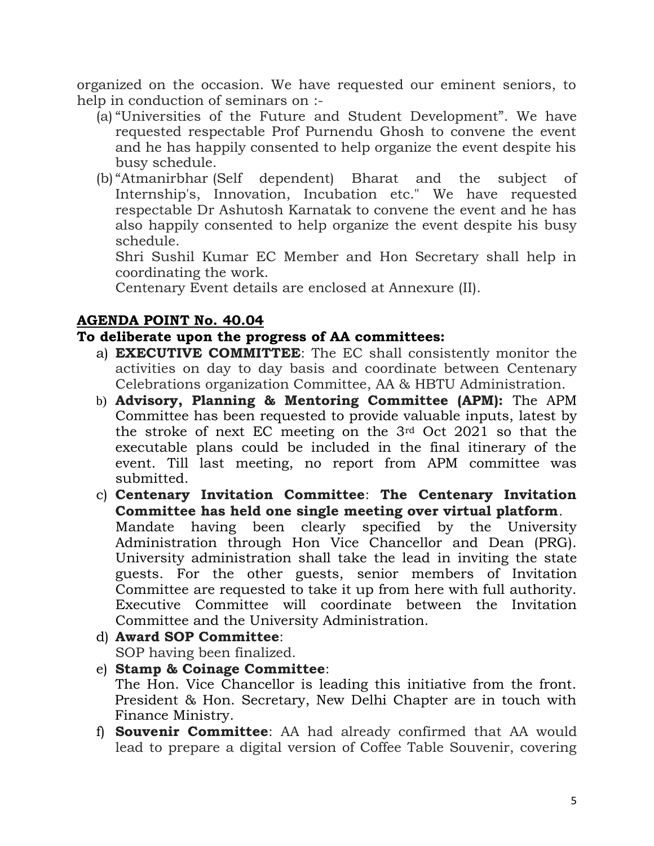organized on the occasion. We have requested our eminent seniors, to help in conduction of seminars on :-

- (a) "Universities of the Future and Student Development". We have requested respectable Prof Purnendu Ghosh to convene the event and he has happily consented to help organize the event despite his busy schedule.
- (b) "Atmanirbhar (Self dependent) Bharat and the subject of Internship's, Innovation, Incubation etc." We have requested respectable Dr Ashutosh Karnatak to convene the event and he has also happily consented to help organize the event despite his busy schedule.

Shri Sushil Kumar EC Member and Hon Secretary shall help in coordinating the work.

Centenary Event details are enclosed at Annexure (II).

#### **AGENDA POINT No. 40.04**

## **To deliberate upon the progress of AA committees:**

- a) **EXECUTIVE COMMITTEE**: The EC shall consistently monitor the activities on day to day basis and coordinate between Centenary Celebrations organization Committee, AA & HBTU Administration.
- b) **Advisory, Planning & Mentoring Committee (APM):** The APM Committee has been requested to provide valuable inputs, latest by the stroke of next EC meeting on the 3rd Oct 2021 so that the executable plans could be included in the final itinerary of the event. Till last meeting, no report from APM committee was submitted.
- c) **Centenary Invitation Committee**: **The Centenary Invitation Committee has held one single meeting over virtual platform**. Mandate having been clearly specified by the University Administration through Hon Vice Chancellor and Dean (PRG). University administration shall take the lead in inviting the state guests. For the other guests, senior members of Invitation Committee are requested to take it up from here with full authority. Executive Committee will coordinate between the Invitation Committee and the University Administration.
- d) **Award SOP Committee**: SOP having been finalized.
- e) **Stamp & Coinage Committee**:

The Hon. Vice Chancellor is leading this initiative from the front. President & Hon. Secretary, New Delhi Chapter are in touch with Finance Ministry.

f) **Souvenir Committee**: AA had already confirmed that AA would lead to prepare a digital version of Coffee Table Souvenir, covering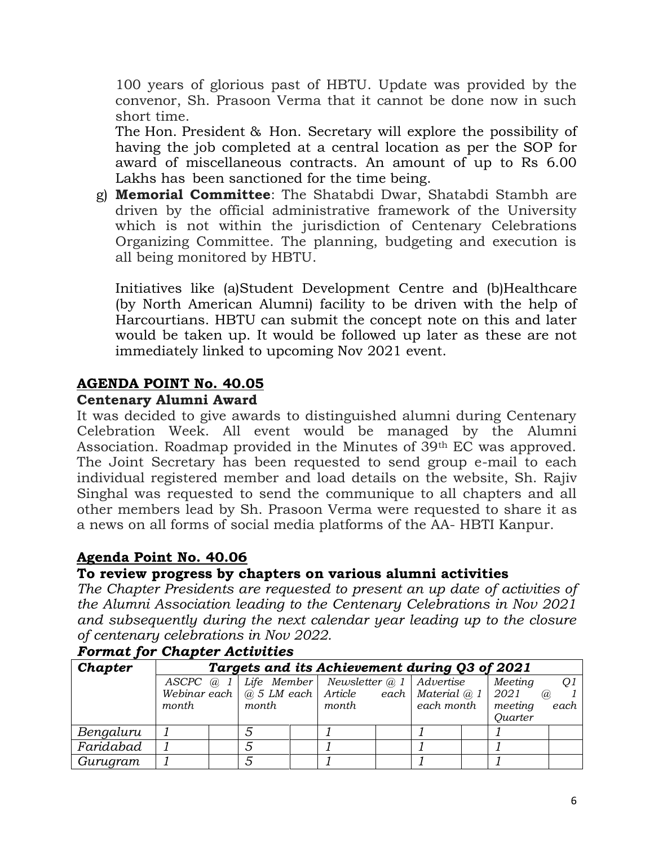100 years of glorious past of HBTU. Update was provided by the convenor, Sh. Prasoon Verma that it cannot be done now in such short time.

The Hon. President & Hon. Secretary will explore the possibility of having the job completed at a central location as per the SOP for award of miscellaneous contracts. An amount of up to Rs 6.00 Lakhs has been sanctioned for the time being.

g) **Memorial Committee**: The Shatabdi Dwar, Shatabdi Stambh are driven by the official administrative framework of the University which is not within the jurisdiction of Centenary Celebrations Organizing Committee. The planning, budgeting and execution is all being monitored by HBTU.

Initiatives like (a)Student Development Centre and (b)Healthcare (by North American Alumni) facility to be driven with the help of Harcourtians. HBTU can submit the concept note on this and later would be taken up. It would be followed up later as these are not immediately linked to upcoming Nov 2021 event.

#### **AGENDA POINT No. 40.05**

#### **Centenary Alumni Award**

It was decided to give awards to distinguished alumni during Centenary Celebration Week. All event would be managed by the Alumni Association. Roadmap provided in the Minutes of 39th EC was approved. The Joint Secretary has been requested to send group e-mail to each individual registered member and load details on the website, Sh. Rajiv Singhal was requested to send the communique to all chapters and all other members lead by Sh. Prasoon Verma were requested to share it as a news on all forms of social media platforms of the AA- HBTI Kanpur.

## **Agenda Point No. 40.06**

## **To review progress by chapters on various alumni activities**

*The Chapter Presidents are requested to present an up date of activities of the Alumni Association leading to the Centenary Celebrations in Nov 2021 and subsequently during the next calendar year leading up to the closure of centenary celebrations in Nov 2022.*

| Chapter   | Targets and its Achievement during Q3 of 2021 |  |       |  |                                                                      |  |            |  |                |                   |                |
|-----------|-----------------------------------------------|--|-------|--|----------------------------------------------------------------------|--|------------|--|----------------|-------------------|----------------|
|           |                                               |  |       |  | ASCPC $@ 1$ Life Member Newsletter $@ 1$ Advertise                   |  |            |  | Meeting        |                   | O <sub>1</sub> |
|           |                                               |  |       |  | Webinar each $\mid$ @ 5 LM each   Article each   Material @ 1   2021 |  |            |  |                | $\mathcal{D}_{a}$ |                |
|           | <i>month</i>                                  |  | month |  | month                                                                |  | each month |  | meeting        |                   | each           |
|           |                                               |  |       |  |                                                                      |  |            |  | <b>Quarter</b> |                   |                |
| Bengaluru |                                               |  |       |  |                                                                      |  |            |  |                |                   |                |
| Faridabad |                                               |  |       |  |                                                                      |  |            |  |                |                   |                |
| Gurugram  |                                               |  |       |  |                                                                      |  |            |  |                |                   |                |

#### *Format for Chapter Activities*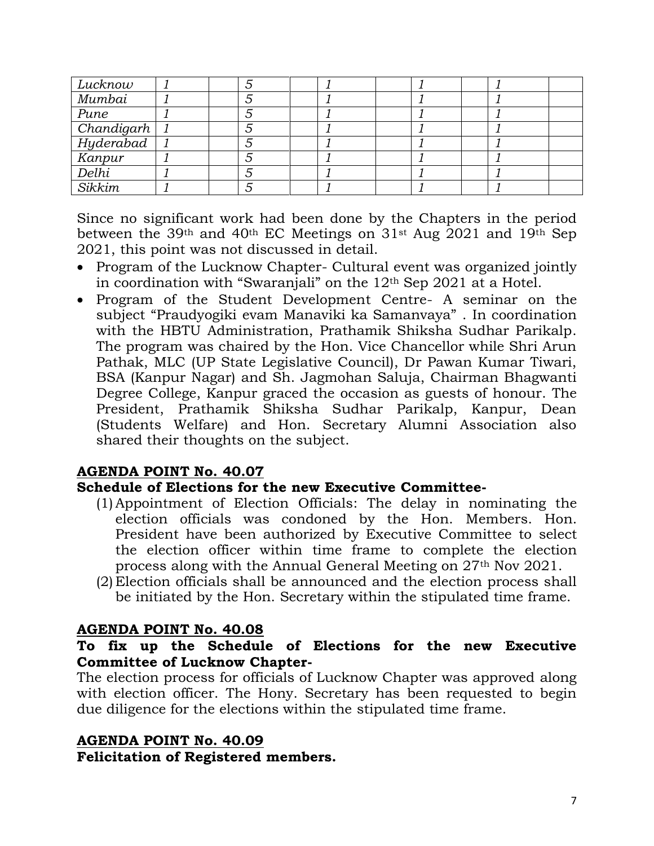| Lucknow    |  |  |  |  |  |
|------------|--|--|--|--|--|
| Mumbai     |  |  |  |  |  |
| Pune       |  |  |  |  |  |
| Chandigarh |  |  |  |  |  |
| Hyderabad  |  |  |  |  |  |
| Kanpur     |  |  |  |  |  |
| Delhi      |  |  |  |  |  |
| Sikkim     |  |  |  |  |  |

Since no significant work had been done by the Chapters in the period between the 39th and 40th EC Meetings on 31st Aug 2021 and 19th Sep 2021, this point was not discussed in detail.

- Program of the Lucknow Chapter- Cultural event was organized jointly in coordination with "Swaranjali" on the  $12<sup>th</sup>$  Sep 2021 at a Hotel.
- Program of the Student Development Centre- A seminar on the subject "Praudyogiki evam Manaviki ka Samanvaya" . In coordination with the HBTU Administration, Prathamik Shiksha Sudhar Parikalp. The program was chaired by the Hon. Vice Chancellor while Shri Arun Pathak, MLC (UP State Legislative Council), Dr Pawan Kumar Tiwari, BSA (Kanpur Nagar) and Sh. Jagmohan Saluja, Chairman Bhagwanti Degree College, Kanpur graced the occasion as guests of honour. The President, Prathamik Shiksha Sudhar Parikalp, Kanpur, Dean (Students Welfare) and Hon. Secretary Alumni Association also shared their thoughts on the subject.

#### **AGENDA POINT No. 40.07**

#### **Schedule of Elections for the new Executive Committee-**

- (1)Appointment of Election Officials: The delay in nominating the election officials was condoned by the Hon. Members. Hon. President have been authorized by Executive Committee to select the election officer within time frame to complete the election process along with the Annual General Meeting on 27th Nov 2021.
- (2) Election officials shall be announced and the election process shall be initiated by the Hon. Secretary within the stipulated time frame.

#### **AGENDA POINT No. 40.08**

#### **To fix up the Schedule of Elections for the new Executive Committee of Lucknow Chapter-**

The election process for officials of Lucknow Chapter was approved along with election officer. The Hony. Secretary has been requested to begin due diligence for the elections within the stipulated time frame.

#### **AGENDA POINT No. 40.09**

**Felicitation of Registered members.**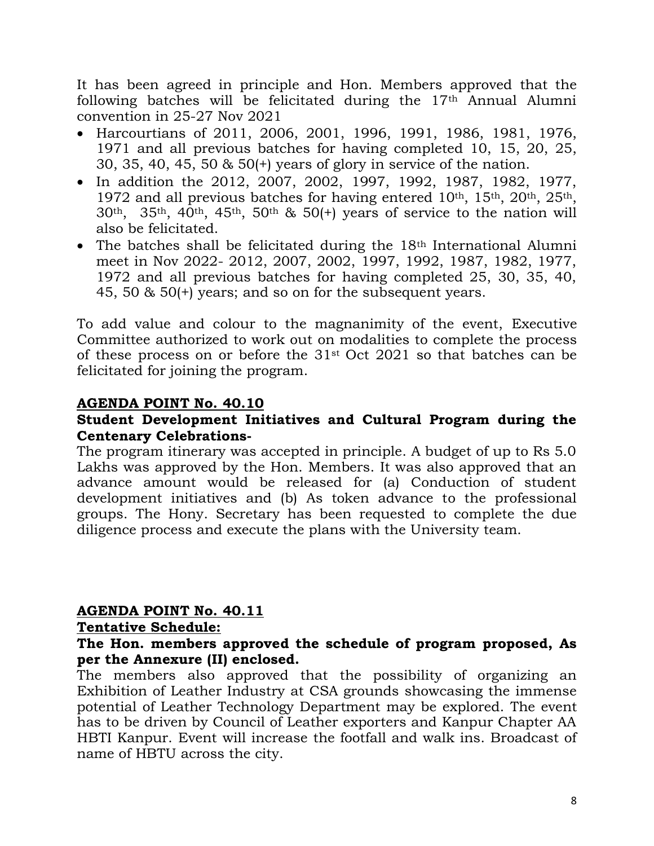It has been agreed in principle and Hon. Members approved that the following batches will be felicitated during the 17th Annual Alumni convention in 25-27 Nov 2021

- Harcourtians of 2011, 2006, 2001, 1996, 1991, 1986, 1981, 1976, 1971 and all previous batches for having completed 10, 15, 20, 25, 30, 35, 40, 45, 50 & 50(+) years of glory in service of the nation.
- In addition the 2012, 2007, 2002, 1997, 1992, 1987, 1982, 1977, 1972 and all previous batches for having entered  $10<sup>th</sup>$ ,  $15<sup>th</sup>$ ,  $20<sup>th</sup>$ ,  $25<sup>th</sup>$ , 30th, 35th, 40th, 45th, 50th & 50(+) years of service to the nation will also be felicitated.
- The batches shall be felicitated during the 18<sup>th</sup> International Alumni meet in Nov 2022- 2012, 2007, 2002, 1997, 1992, 1987, 1982, 1977, 1972 and all previous batches for having completed 25, 30, 35, 40, 45, 50 & 50(+) years; and so on for the subsequent years.

To add value and colour to the magnanimity of the event, Executive Committee authorized to work out on modalities to complete the process of these process on or before the 31st Oct 2021 so that batches can be felicitated for joining the program.

#### **AGENDA POINT No. 40.10**

#### **Student Development Initiatives and Cultural Program during the Centenary Celebrations-**

The program itinerary was accepted in principle. A budget of up to Rs 5.0 Lakhs was approved by the Hon. Members. It was also approved that an advance amount would be released for (a) Conduction of student development initiatives and (b) As token advance to the professional groups. The Hony. Secretary has been requested to complete the due diligence process and execute the plans with the University team.

#### **AGENDA POINT No. 40.11**

#### **Tentative Schedule:**

#### **The Hon. members approved the schedule of program proposed, As per the Annexure (II) enclosed.**

The members also approved that the possibility of organizing an Exhibition of Leather Industry at CSA grounds showcasing the immense potential of Leather Technology Department may be explored. The event has to be driven by Council of Leather exporters and Kanpur Chapter AA HBTI Kanpur. Event will increase the footfall and walk ins. Broadcast of name of HBTU across the city.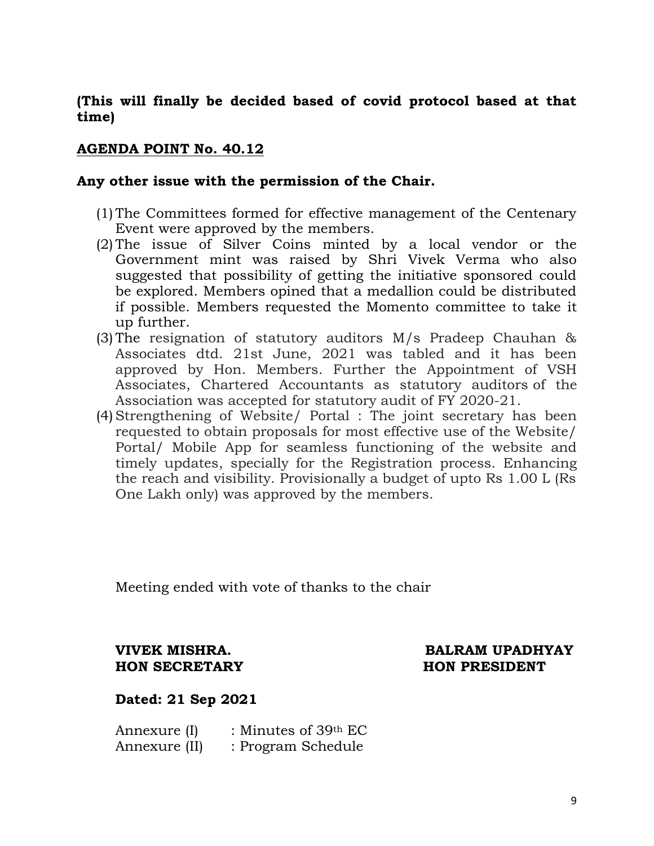#### **(This will finally be decided based of covid protocol based at that time)**

#### **AGENDA POINT No. 40.12**

#### **Any other issue with the permission of the Chair.**

- (1) The Committees formed for effective management of the Centenary Event were approved by the members.
- (2) The issue of Silver Coins minted by a local vendor or the Government mint was raised by Shri Vivek Verma who also suggested that possibility of getting the initiative sponsored could be explored. Members opined that a medallion could be distributed if possible. Members requested the Momento committee to take it up further.
- (3) The resignation of statutory auditors M/s Pradeep Chauhan & Associates dtd. 21st June, 2021 was tabled and it has been approved by Hon. Members. Further the Appointment of VSH Associates, Chartered Accountants as statutory auditors of the Association was accepted for statutory audit of FY 2020-21.
- (4)Strengthening of Website/ Portal : The joint secretary has been requested to obtain proposals for most effective use of the Website/ Portal/ Mobile App for seamless functioning of the website and timely updates, specially for the Registration process. Enhancing the reach and visibility. Provisionally a budget of upto Rs 1.00 L (Rs One Lakh only) was approved by the members.

Meeting ended with vote of thanks to the chair

## **HON SECRETARY HON PRESIDENT**

# **VIVEK MISHRA. BALRAM UPADHYAY**

#### **Dated: 21 Sep 2021**

| Annexure (I)  | : Minutes of 39th EC |
|---------------|----------------------|
| Annexure (II) | : Program Schedule   |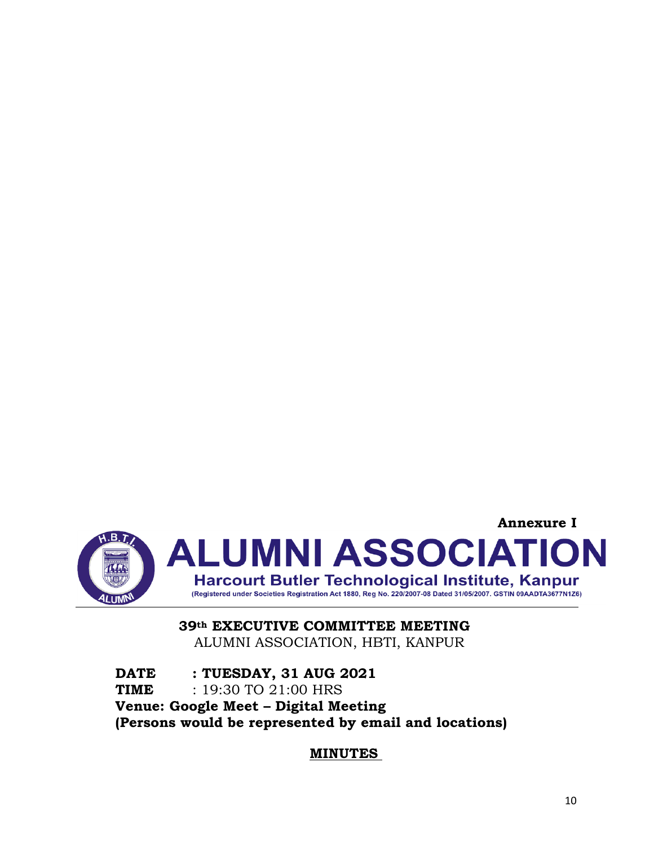

#### **39th EXECUTIVE COMMITTEE MEETING** ALUMNI ASSOCIATION, HBTI, KANPUR

**DATE : TUESDAY, 31 AUG 2021 TIME** : 19:30 TO 21:00 HRS **Venue: Google Meet – Digital Meeting (Persons would be represented by email and locations)**

#### **MINUTES**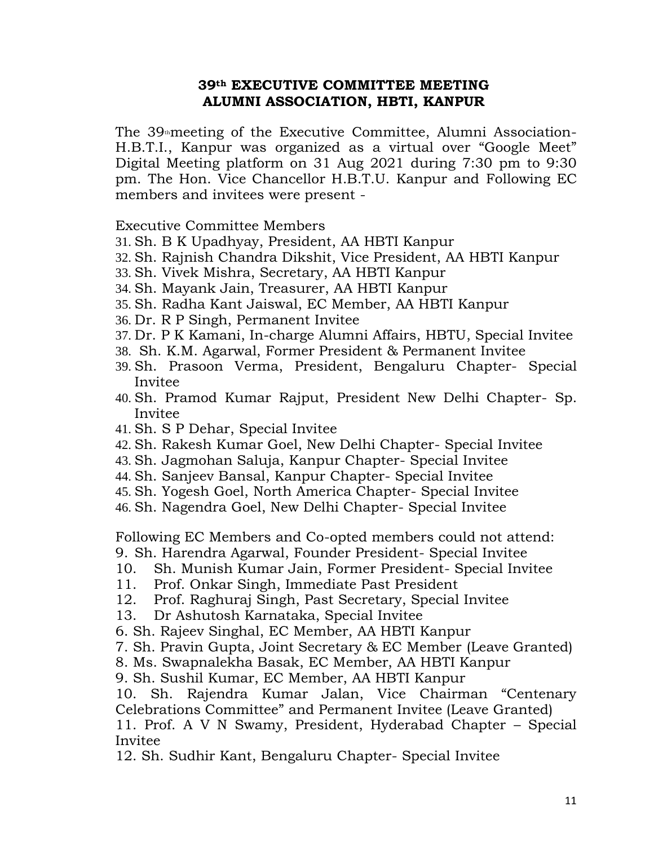#### **39th EXECUTIVE COMMITTEE MEETING ALUMNI ASSOCIATION, HBTI, KANPUR**

The  $39<sub>th</sub>$ meeting of the Executive Committee, Alumni Association-H.B.T.I., Kanpur was organized as a virtual over "Google Meet" Digital Meeting platform on 31 Aug 2021 during 7:30 pm to 9:30 pm. The Hon. Vice Chancellor H.B.T.U. Kanpur and Following EC members and invitees were present -

Executive Committee Members

- 31. Sh. B K Upadhyay, President, AA HBTI Kanpur
- 32. Sh. Rajnish Chandra Dikshit, Vice President, AA HBTI Kanpur
- 33. Sh. Vivek Mishra, Secretary, AA HBTI Kanpur
- 34. Sh. Mayank Jain, Treasurer, AA HBTI Kanpur
- 35. Sh. Radha Kant Jaiswal, EC Member, AA HBTI Kanpur
- 36. Dr. R P Singh, Permanent Invitee
- 37. Dr. P K Kamani, In-charge Alumni Affairs, HBTU, Special Invitee
- 38. Sh. K.M. Agarwal, Former President & Permanent Invitee
- 39. Sh. Prasoon Verma, President, Bengaluru Chapter- Special Invitee
- 40. Sh. Pramod Kumar Rajput, President New Delhi Chapter- Sp. Invitee
- 41. Sh. S P Dehar, Special Invitee
- 42. Sh. Rakesh Kumar Goel, New Delhi Chapter- Special Invitee
- 43. Sh. Jagmohan Saluja, Kanpur Chapter- Special Invitee
- 44. Sh. Sanjeev Bansal, Kanpur Chapter- Special Invitee
- 45. Sh. Yogesh Goel, North America Chapter- Special Invitee
- 46. Sh. Nagendra Goel, New Delhi Chapter- Special Invitee

Following EC Members and Co-opted members could not attend:

- 9. Sh. Harendra Agarwal, Founder President- Special Invitee
- 10. Sh. Munish Kumar Jain, Former President- Special Invitee
- 11. Prof. Onkar Singh, Immediate Past President
- 12. Prof. Raghuraj Singh, Past Secretary, Special Invitee
- 13. Dr Ashutosh Karnataka, Special Invitee
- 6. Sh. Rajeev Singhal, EC Member, AA HBTI Kanpur
- 7. Sh. Pravin Gupta, Joint Secretary & EC Member (Leave Granted)
- 8. Ms. Swapnalekha Basak, EC Member, AA HBTI Kanpur
- 9. Sh. Sushil Kumar, EC Member, AA HBTI Kanpur

10. Sh. Rajendra Kumar Jalan, Vice Chairman "Centenary Celebrations Committee" and Permanent Invitee (Leave Granted) 11. Prof. A V N Swamy, President, Hyderabad Chapter – Special Invitee

12. Sh. Sudhir Kant, Bengaluru Chapter- Special Invitee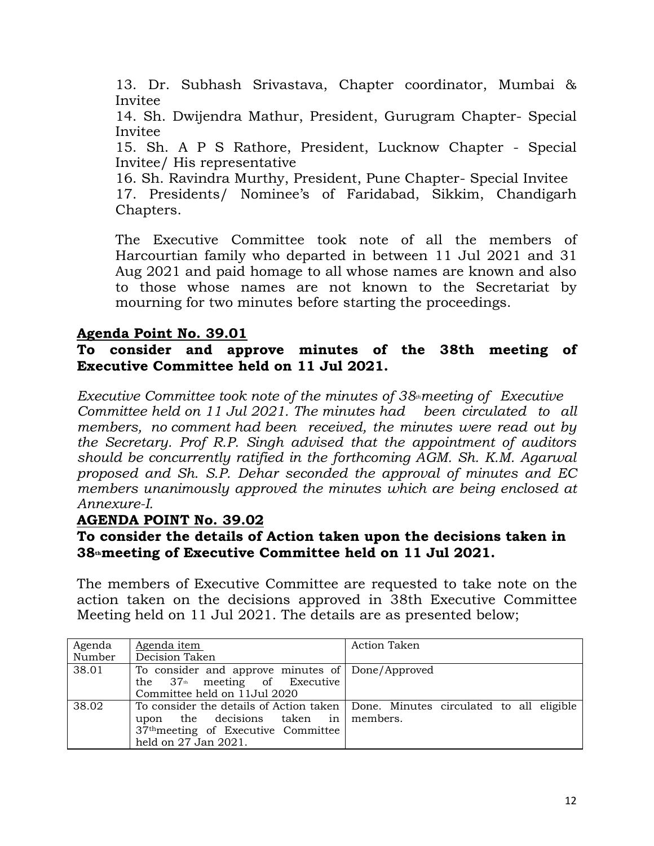13. Dr. Subhash Srivastava, Chapter coordinator, Mumbai & Invitee

14. Sh. Dwijendra Mathur, President, Gurugram Chapter- Special Invitee

15. Sh. A P S Rathore, President, Lucknow Chapter - Special Invitee/ His representative

16. Sh. Ravindra Murthy, President, Pune Chapter- Special Invitee

17. Presidents/ Nominee's of Faridabad, Sikkim, Chandigarh Chapters.

The Executive Committee took note of all the members of Harcourtian family who departed in between 11 Jul 2021 and 31 Aug 2021 and paid homage to all whose names are known and also to those whose names are not known to the Secretariat by mourning for two minutes before starting the proceedings.

#### **Agenda Point No. 39.01**

#### **To consider and approve minutes of the 38th meeting of Executive Committee held on 11 Jul 2021.**

*Executive Committee took note of the minutes of 38thmeeting of Executive Committee held on 11 Jul 2021. The minutes had been circulated to all members, no comment had been received, the minutes were read out by the Secretary. Prof R.P. Singh advised that the appointment of auditors should be concurrently ratified in the forthcoming AGM. Sh. K.M. Agarwal proposed and Sh. S.P. Dehar seconded the approval of minutes and EC members unanimously approved the minutes which are being enclosed at Annexure-I.*

#### **AGENDA POINT No. 39.02**

#### **To consider the details of Action taken upon the decisions taken in 38thmeeting of Executive Committee held on 11 Jul 2021.**

The members of Executive Committee are requested to take note on the action taken on the decisions approved in 38th Executive Committee Meeting held on 11 Jul 2021. The details are as presented below;

| Agenda | Agenda item                                      | <b>Action Taken</b>                                                                |
|--------|--------------------------------------------------|------------------------------------------------------------------------------------|
| Number | Decision Taken                                   |                                                                                    |
| 38.01  | To consider and approve minutes of Done/Approved |                                                                                    |
|        | the $37th$ meeting of Executive                  |                                                                                    |
|        | Committee held on 11Jul 2020                     |                                                                                    |
| 38.02  |                                                  | To consider the details of Action taken   Done. Minutes circulated to all eligible |
|        | upon the decisions taken in members.             |                                                                                    |
|        | 37 <sup>th</sup> meeting of Executive Committee  |                                                                                    |
|        | held on 27 Jan 2021.                             |                                                                                    |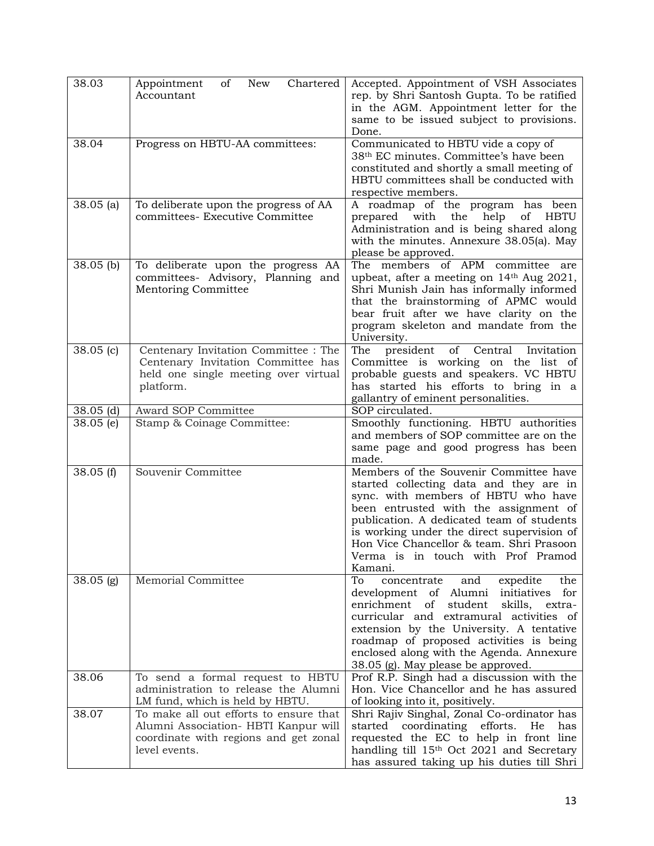| 38.03       | Chartered<br>New<br>Appointment<br>of<br>Accountant                                                                                      | Accepted. Appointment of VSH Associates<br>rep. by Shri Santosh Gupta. To be ratified<br>in the AGM. Appointment letter for the<br>same to be issued subject to provisions.<br>Done.                                                                                                                                                                      |  |  |  |  |
|-------------|------------------------------------------------------------------------------------------------------------------------------------------|-----------------------------------------------------------------------------------------------------------------------------------------------------------------------------------------------------------------------------------------------------------------------------------------------------------------------------------------------------------|--|--|--|--|
| 38.04       | Progress on HBTU-AA committees:                                                                                                          | Communicated to HBTU vide a copy of<br>38 <sup>th</sup> EC minutes. Committee's have been<br>constituted and shortly a small meeting of<br>HBTU committees shall be conducted with<br>respective members.                                                                                                                                                 |  |  |  |  |
| $38.05$ (a) | To deliberate upon the progress of AA<br>committees- Executive Committee                                                                 | A roadmap of the program has been<br>with<br>help<br>the<br>of<br><b>HBTU</b><br>prepared<br>Administration and is being shared along<br>with the minutes. Annexure 38.05(a). May<br>please be approved.                                                                                                                                                  |  |  |  |  |
| $38.05$ (b) | To deliberate upon the progress AA<br>committees- Advisory, Planning and<br>Mentoring Committee                                          | The members of APM committee<br>are<br>upbeat, after a meeting on 14th Aug 2021,<br>Shri Munish Jain has informally informed<br>that the brainstorming of APMC would<br>bear fruit after we have clarity on the<br>program skeleton and mandate from the<br>University.                                                                                   |  |  |  |  |
| $38.05$ (c) | Centenary Invitation Committee : The<br>Centenary Invitation Committee has<br>held one single meeting over virtual<br>platform.          | of Central<br>The<br>president<br>Invitation<br>Committee is working on the list of<br>probable guests and speakers. VC HBTU<br>has started his efforts to bring in a<br>gallantry of eminent personalities.                                                                                                                                              |  |  |  |  |
| $38.05$ (d) | Award SOP Committee                                                                                                                      | SOP circulated.                                                                                                                                                                                                                                                                                                                                           |  |  |  |  |
| $38.05$ (e) | Stamp & Coinage Committee:                                                                                                               | Smoothly functioning. HBTU authorities<br>and members of SOP committee are on the<br>same page and good progress has been<br>made.                                                                                                                                                                                                                        |  |  |  |  |
| 38.05(f)    | Souvenir Committee                                                                                                                       | Members of the Souvenir Committee have<br>started collecting data and they are in<br>sync. with members of HBTU who have<br>been entrusted with the assignment of<br>publication. A dedicated team of students<br>is working under the direct supervision of<br>Hon Vice Chancellor & team. Shri Prasoon<br>Verma is in touch with Prof Pramod<br>Kamani. |  |  |  |  |
| $38.05$ (g) | <b>Memorial Committee</b>                                                                                                                | To<br>and<br>expedite<br>concentrate<br>the<br>development of Alumni initiatives for<br>enrichment of student<br>skills, extra-<br>curricular and extramural activities of<br>extension by the University. A tentative<br>roadmap of proposed activities is being<br>enclosed along with the Agenda. Annexure<br>38.05 (g). May please be approved.       |  |  |  |  |
| 38.06       | To send a formal request to HBTU<br>administration to release the Alumni<br>LM fund, which is held by HBTU.                              | Prof R.P. Singh had a discussion with the<br>Hon. Vice Chancellor and he has assured<br>of looking into it, positively.                                                                                                                                                                                                                                   |  |  |  |  |
| 38.07       | To make all out efforts to ensure that<br>Alumni Association- HBTI Kanpur will<br>coordinate with regions and get zonal<br>level events. | Shri Rajiv Singhal, Zonal Co-ordinator has<br>started coordinating efforts.<br>He<br>has<br>requested the EC to help in front line<br>handling till 15 <sup>th</sup> Oct 2021 and Secretary<br>has assured taking up his duties till Shri                                                                                                                 |  |  |  |  |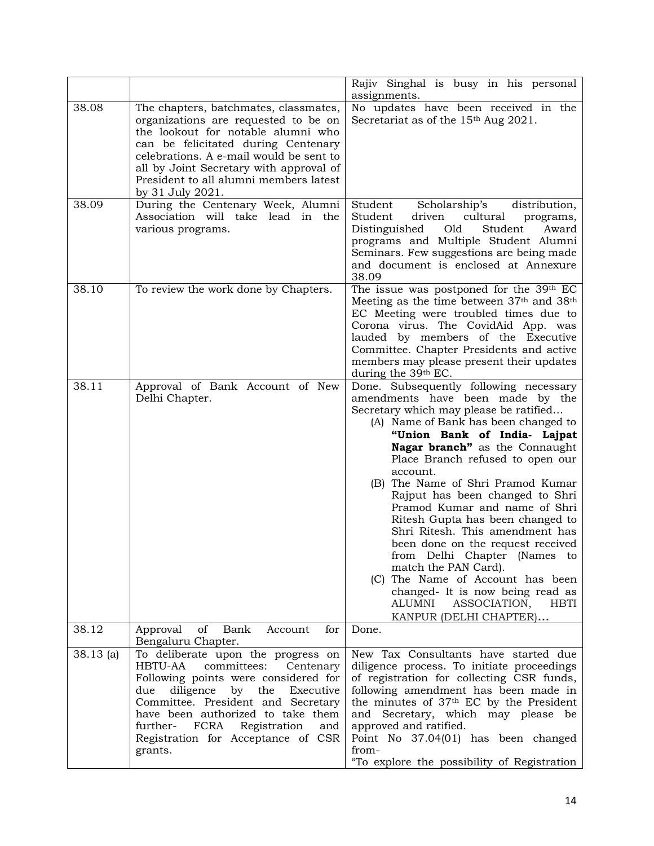|             |                                                                                                                                                                                                                                                                                                                                  | Rajiv Singhal is busy in his personal<br>assignments.                                                                                                                                                                                                                                                                                                                                                                                                                                                                                                                                                                                                                                           |
|-------------|----------------------------------------------------------------------------------------------------------------------------------------------------------------------------------------------------------------------------------------------------------------------------------------------------------------------------------|-------------------------------------------------------------------------------------------------------------------------------------------------------------------------------------------------------------------------------------------------------------------------------------------------------------------------------------------------------------------------------------------------------------------------------------------------------------------------------------------------------------------------------------------------------------------------------------------------------------------------------------------------------------------------------------------------|
| 38.08       | The chapters, batchmates, classmates,<br>organizations are requested to be on<br>the lookout for notable alumni who<br>can be felicitated during Centenary<br>celebrations. A e-mail would be sent to<br>all by Joint Secretary with approval of<br>President to all alumni members latest<br>by 31 July 2021.                   | No updates have been received in the<br>Secretariat as of the 15 <sup>th</sup> Aug 2021.                                                                                                                                                                                                                                                                                                                                                                                                                                                                                                                                                                                                        |
| 38.09       | During the Centenary Week, Alumni<br>Association will take lead in the<br>various programs.                                                                                                                                                                                                                                      | distribution,<br>Student<br>Scholarship's<br>Student<br>cultural<br>driven<br>programs,<br>Distinguished<br>Old<br>Student<br>Award<br>programs and Multiple Student Alumni<br>Seminars. Few suggestions are being made<br>and document is enclosed at Annexure<br>38.09                                                                                                                                                                                                                                                                                                                                                                                                                        |
| 38.10       | To review the work done by Chapters.                                                                                                                                                                                                                                                                                             | The issue was postponed for the 39th EC<br>Meeting as the time between 37 <sup>th</sup> and 38 <sup>th</sup><br>EC Meeting were troubled times due to<br>Corona virus. The CovidAid App. was<br>lauded by members of the Executive<br>Committee. Chapter Presidents and active<br>members may please present their updates<br>during the 39th EC.                                                                                                                                                                                                                                                                                                                                               |
| 38.11       | Approval of Bank Account of New<br>Delhi Chapter.                                                                                                                                                                                                                                                                                | Done. Subsequently following necessary<br>amendments have been made by the<br>Secretary which may please be ratified<br>(A) Name of Bank has been changed to<br>"Union Bank of India- Lajpat<br>Nagar branch" as the Connaught<br>Place Branch refused to open our<br>account.<br>(B) The Name of Shri Pramod Kumar<br>Rajput has been changed to Shri<br>Pramod Kumar and name of Shri<br>Ritesh Gupta has been changed to<br>Shri Ritesh. This amendment has<br>been done on the request received<br>from Delhi Chapter (Names to<br>match the PAN Card).<br>(C) The Name of Account has been<br>changed- It is now being read as<br>ALUMNI<br>ASSOCIATION,<br>HBTI<br>KANPUR (DELHI CHAPTER) |
| 38.12       | of<br>Bank<br>for<br>Approval<br>Account<br>Bengaluru Chapter.                                                                                                                                                                                                                                                                   | Done.                                                                                                                                                                                                                                                                                                                                                                                                                                                                                                                                                                                                                                                                                           |
| $38.13$ (a) | To deliberate upon the progress on<br>committees:<br>HBTU-AA<br>Centenary<br>Following points were considered for<br>diligence<br>by the<br>due<br>Executive<br>Committee. President and Secretary<br>have been authorized to take them<br>FCRA Registration<br>further-<br>and<br>Registration for Acceptance of CSR<br>grants. | New Tax Consultants have started due<br>diligence process. To initiate proceedings<br>of registration for collecting CSR funds,<br>following amendment has been made in<br>the minutes of 37 <sup>th</sup> EC by the President<br>and Secretary, which may please be<br>approved and ratified.<br>Point No 37.04(01) has been changed<br>from-<br>"To explore the possibility of Registration                                                                                                                                                                                                                                                                                                   |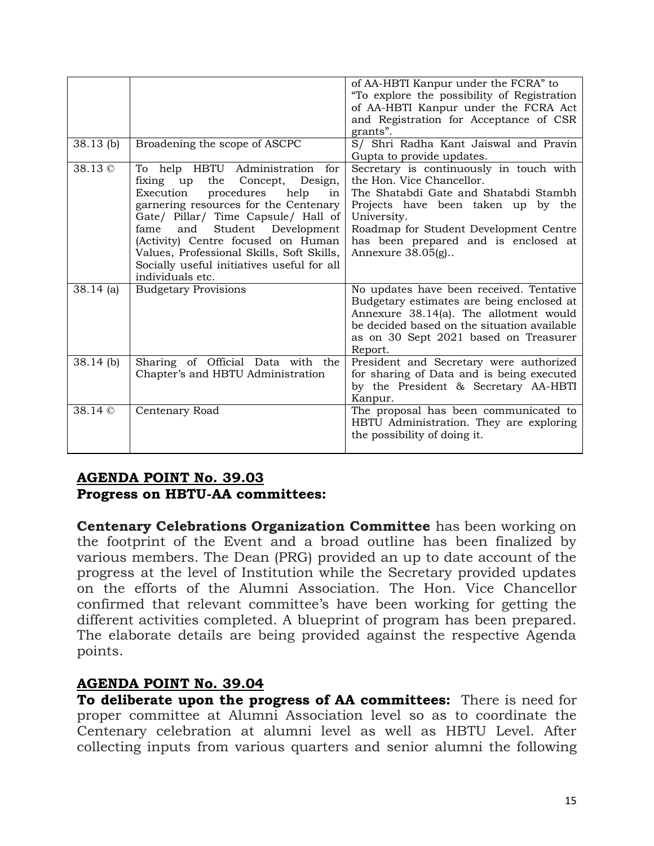| $38.13$ (b)   | Broadening the scope of ASCPC                                                                                                                                                                                                                                                                                                                                                               | of AA-HBTI Kanpur under the FCRA" to<br>"To explore the possibility of Registration<br>of AA-HBTI Kanpur under the FCRA Act<br>and Registration for Acceptance of CSR<br>grants".<br>S/ Shri Radha Kant Jaiswal and Pravin<br>Gupta to provide updates.                     |
|---------------|---------------------------------------------------------------------------------------------------------------------------------------------------------------------------------------------------------------------------------------------------------------------------------------------------------------------------------------------------------------------------------------------|-----------------------------------------------------------------------------------------------------------------------------------------------------------------------------------------------------------------------------------------------------------------------------|
| 38.13 ©       | To help HBTU Administration for<br>the Concept,<br>fixing up<br>Design,<br>Execution<br>procedures<br>help<br>in<br>garnering resources for the Centenary<br>Gate/ Pillar/ Time Capsule/ Hall of<br>Student Development<br>fame<br>and<br>(Activity) Centre focused on Human<br>Values, Professional Skills, Soft Skills,<br>Socially useful initiatives useful for all<br>individuals etc. | Secretary is continuously in touch with<br>the Hon. Vice Chancellor.<br>The Shatabdi Gate and Shatabdi Stambh<br>Projects have been taken up by the<br>University.<br>Roadmap for Student Development Centre<br>has been prepared and is enclosed at<br>Annexure $38.05(g)$ |
| $38.14$ (a)   | <b>Budgetary Provisions</b>                                                                                                                                                                                                                                                                                                                                                                 | No updates have been received. Tentative<br>Budgetary estimates are being enclosed at<br>Annexure 38.14(a). The allotment would<br>be decided based on the situation available<br>as on 30 Sept 2021 based on Treasurer<br>Report.                                          |
| $38.14$ (b)   | Sharing of Official Data with the<br>Chapter's and HBTU Administration                                                                                                                                                                                                                                                                                                                      | President and Secretary were authorized<br>for sharing of Data and is being executed<br>by the President & Secretary AA-HBTI<br>Kanpur.                                                                                                                                     |
| $38.14 \circ$ | Centenary Road                                                                                                                                                                                                                                                                                                                                                                              | The proposal has been communicated to<br>HBTU Administration. They are exploring<br>the possibility of doing it.                                                                                                                                                            |

#### **AGENDA POINT No. 39.03 Progress on HBTU-AA committees:**

**Centenary Celebrations Organization Committee** has been working on the footprint of the Event and a broad outline has been finalized by various members. The Dean (PRG) provided an up to date account of the progress at the level of Institution while the Secretary provided updates on the efforts of the Alumni Association. The Hon. Vice Chancellor confirmed that relevant committee's have been working for getting the different activities completed. A blueprint of program has been prepared. The elaborate details are being provided against the respective Agenda points.

#### **AGENDA POINT No. 39.04**

**To deliberate upon the progress of AA committees:** There is need for proper committee at Alumni Association level so as to coordinate the Centenary celebration at alumni level as well as HBTU Level. After collecting inputs from various quarters and senior alumni the following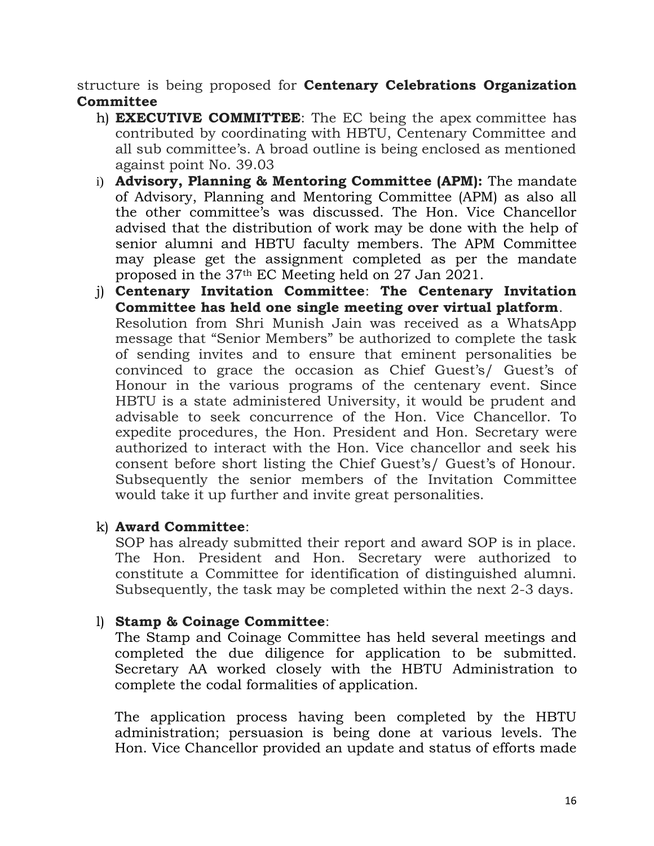structure is being proposed for **Centenary Celebrations Organization Committee**

- h) **EXECUTIVE COMMITTEE**: The EC being the apex committee has contributed by coordinating with HBTU, Centenary Committee and all sub committee's. A broad outline is being enclosed as mentioned against point No. 39.03
- i) **Advisory, Planning & Mentoring Committee (APM):** The mandate of Advisory, Planning and Mentoring Committee (APM) as also all the other committee's was discussed. The Hon. Vice Chancellor advised that the distribution of work may be done with the help of senior alumni and HBTU faculty members. The APM Committee may please get the assignment completed as per the mandate proposed in the 37th EC Meeting held on 27 Jan 2021.
- j) **Centenary Invitation Committee**: **The Centenary Invitation Committee has held one single meeting over virtual platform**. Resolution from Shri Munish Jain was received as a WhatsApp message that "Senior Members" be authorized to complete the task of sending invites and to ensure that eminent personalities be convinced to grace the occasion as Chief Guest's/ Guest's of Honour in the various programs of the centenary event. Since HBTU is a state administered University, it would be prudent and advisable to seek concurrence of the Hon. Vice Chancellor. To expedite procedures, the Hon. President and Hon. Secretary were authorized to interact with the Hon. Vice chancellor and seek his consent before short listing the Chief Guest's/ Guest's of Honour. Subsequently the senior members of the Invitation Committee would take it up further and invite great personalities.

#### k) **Award Committee**:

SOP has already submitted their report and award SOP is in place. The Hon. President and Hon. Secretary were authorized to constitute a Committee for identification of distinguished alumni. Subsequently, the task may be completed within the next 2-3 days.

#### l) **Stamp & Coinage Committee**:

The Stamp and Coinage Committee has held several meetings and completed the due diligence for application to be submitted. Secretary AA worked closely with the HBTU Administration to complete the codal formalities of application.

The application process having been completed by the HBTU administration; persuasion is being done at various levels. The Hon. Vice Chancellor provided an update and status of efforts made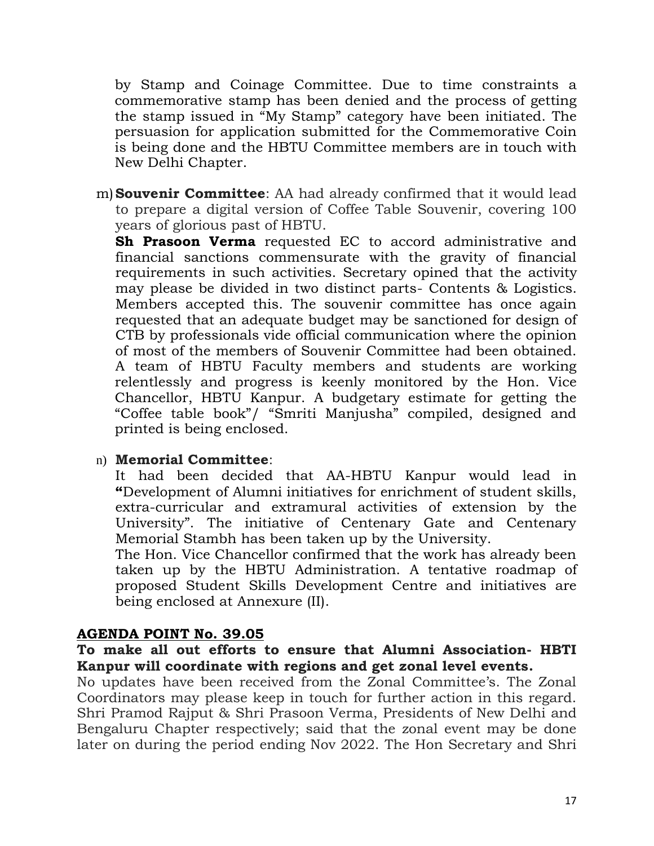by Stamp and Coinage Committee. Due to time constraints a commemorative stamp has been denied and the process of getting the stamp issued in "My Stamp" category have been initiated. The persuasion for application submitted for the Commemorative Coin is being done and the HBTU Committee members are in touch with New Delhi Chapter.

m)**Souvenir Committee**: AA had already confirmed that it would lead to prepare a digital version of Coffee Table Souvenir, covering 100 years of glorious past of HBTU.

**Sh Prasoon Verma** requested EC to accord administrative and financial sanctions commensurate with the gravity of financial requirements in such activities. Secretary opined that the activity may please be divided in two distinct parts- Contents & Logistics. Members accepted this. The souvenir committee has once again requested that an adequate budget may be sanctioned for design of CTB by professionals vide official communication where the opinion of most of the members of Souvenir Committee had been obtained. A team of HBTU Faculty members and students are working relentlessly and progress is keenly monitored by the Hon. Vice Chancellor, HBTU Kanpur. A budgetary estimate for getting the "Coffee table book"/ "Smriti Manjusha" compiled, designed and printed is being enclosed.

#### n) **Memorial Committee**:

It had been decided that AA-HBTU Kanpur would lead in **"**Development of Alumni initiatives for enrichment of student skills, extra-curricular and extramural activities of extension by the University". The initiative of Centenary Gate and Centenary Memorial Stambh has been taken up by the University.

The Hon. Vice Chancellor confirmed that the work has already been taken up by the HBTU Administration. A tentative roadmap of proposed Student Skills Development Centre and initiatives are being enclosed at Annexure (II).

#### **AGENDA POINT No. 39.05**

#### **To make all out efforts to ensure that Alumni Association- HBTI Kanpur will coordinate with regions and get zonal level events.**

No updates have been received from the Zonal Committee's. The Zonal Coordinators may please keep in touch for further action in this regard. Shri Pramod Rajput & Shri Prasoon Verma, Presidents of New Delhi and Bengaluru Chapter respectively; said that the zonal event may be done later on during the period ending Nov 2022. The Hon Secretary and Shri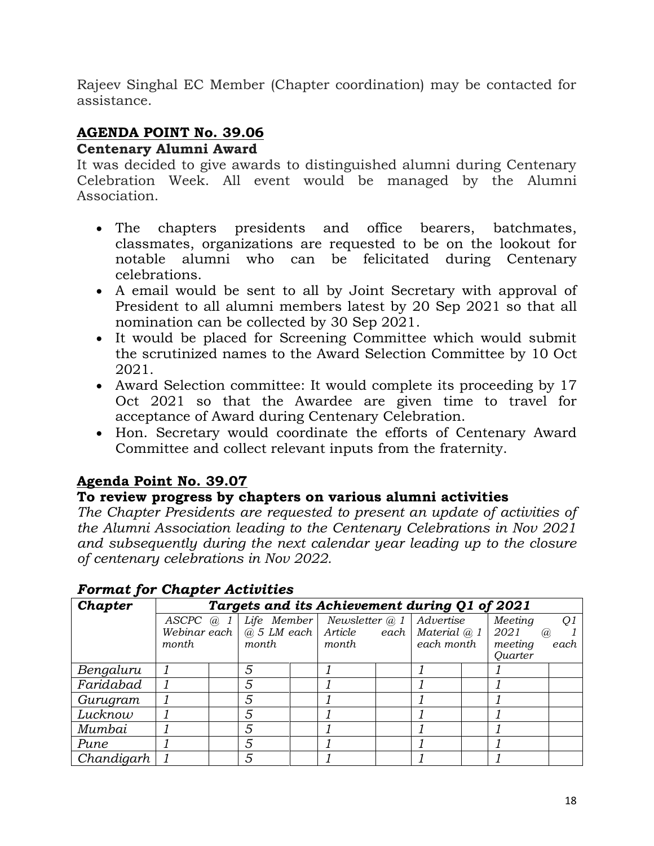Rajeev Singhal EC Member (Chapter coordination) may be contacted for assistance.

## **AGENDA POINT No. 39.06**

#### **Centenary Alumni Award**

It was decided to give awards to distinguished alumni during Centenary Celebration Week. All event would be managed by the Alumni Association.

- The chapters presidents and office bearers, batchmates, classmates, organizations are requested to be on the lookout for notable alumni who can be felicitated during Centenary celebrations.
- A email would be sent to all by Joint Secretary with approval of President to all alumni members latest by 20 Sep 2021 so that all nomination can be collected by 30 Sep 2021.
- It would be placed for Screening Committee which would submit the scrutinized names to the Award Selection Committee by 10 Oct 2021.
- Award Selection committee: It would complete its proceeding by 17 Oct 2021 so that the Awardee are given time to travel for acceptance of Award during Centenary Celebration.
- Hon. Secretary would coordinate the efforts of Centenary Award Committee and collect relevant inputs from the fraternity.

## **Agenda Point No. 39.07**

## **To review progress by chapters on various alumni activities**

*The Chapter Presidents are requested to present an update of activities of the Alumni Association leading to the Centenary Celebrations in Nov 2021 and subsequently during the next calendar year leading up to the closure of centenary celebrations in Nov 2022.*

| -- <i>--</i> --- 1-- |              |                                               |                                               |  |                |  |                     |  |                |      |
|----------------------|--------------|-----------------------------------------------|-----------------------------------------------|--|----------------|--|---------------------|--|----------------|------|
| Chapter              |              | Targets and its Achievement during Q1 of 2021 |                                               |  |                |  |                     |  |                |      |
|                      | $ASCPC$ @ 1  |                                               | Life Member                                   |  | Newsletter @ 1 |  | Advertise           |  | Meeting        | Q1   |
|                      |              |                                               | Webinar each $ $ $\overline{a}$ 5 LM each $ $ |  | Article        |  | each   Material @ 1 |  | 2021           | (a)  |
|                      | <i>month</i> |                                               | month.                                        |  | month          |  | each month          |  | meeting        | each |
|                      |              |                                               |                                               |  |                |  |                     |  | <b>Quarter</b> |      |
| Bengaluru            |              |                                               | 5                                             |  |                |  |                     |  |                |      |
| Faridabad            |              |                                               | 5                                             |  |                |  |                     |  |                |      |
| Gurugram             |              |                                               | 5                                             |  |                |  |                     |  |                |      |
| Lucknow              |              |                                               | 5                                             |  |                |  |                     |  |                |      |
| Mumbai               |              |                                               | 5                                             |  |                |  |                     |  |                |      |
| Pune                 |              |                                               | 5                                             |  |                |  |                     |  |                |      |
| Chandigarh           |              |                                               | 5                                             |  |                |  |                     |  |                |      |

#### *Format for Chapter Activities*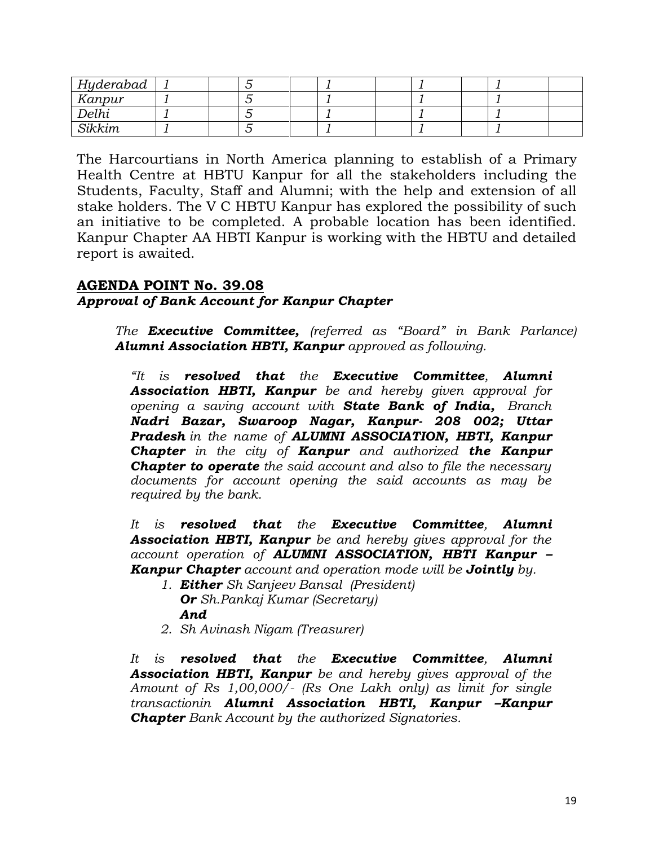| Hyderabad |  |  |  |  |  |
|-----------|--|--|--|--|--|
| Kanpur    |  |  |  |  |  |
| Delhi     |  |  |  |  |  |
| Sikkim    |  |  |  |  |  |

The Harcourtians in North America planning to establish of a Primary Health Centre at HBTU Kanpur for all the stakeholders including the Students, Faculty, Staff and Alumni; with the help and extension of all stake holders. The V C HBTU Kanpur has explored the possibility of such an initiative to be completed. A probable location has been identified. Kanpur Chapter AA HBTI Kanpur is working with the HBTU and detailed report is awaited.

#### **AGENDA POINT No. 39.08** *Approval of Bank Account for Kanpur Chapter*

*The Executive Committee, (referred as "Board" in Bank Parlance) Alumni Association HBTI, Kanpur approved as following.*

*"It is resolved that the Executive Committee, Alumni Association HBTI, Kanpur be and hereby given approval for opening a saving account with State Bank of India, Branch Nadri Bazar, Swaroop Nagar, Kanpur- 208 002; Uttar Pradesh in the name of ALUMNI ASSOCIATION, HBTI, Kanpur Chapter in the city of Kanpur and authorized the Kanpur Chapter to operate the said account and also to file the necessary documents for account opening the said accounts as may be required by the bank.*

*It is resolved that the Executive Committee, Alumni Association HBTI, Kanpur be and hereby gives approval for the account operation of ALUMNI ASSOCIATION, HBTI Kanpur – Kanpur Chapter account and operation mode will be Jointly by.*

- *1. Either Sh Sanjeev Bansal (President) Or Sh.Pankaj Kumar (Secretary) And*
- *2. Sh Avinash Nigam (Treasurer)*

*It is resolved that the Executive Committee, Alumni Association HBTI, Kanpur be and hereby gives approval of the Amount of Rs 1,00,000/- (Rs One Lakh only) as limit for single transactionin Alumni Association HBTI, Kanpur –Kanpur Chapter Bank Account by the authorized Signatories.*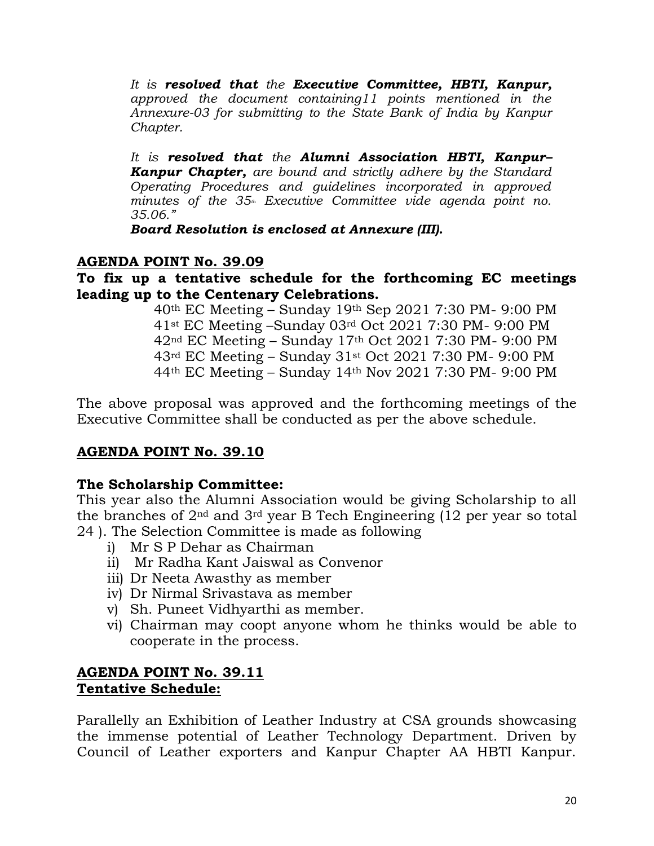*It is resolved that the Executive Committee, HBTI, Kanpur, approved the document containing11 points mentioned in the Annexure-03 for submitting to the State Bank of India by Kanpur Chapter.* 

*It is resolved that the Alumni Association HBTI, Kanpur– Kanpur Chapter, are bound and strictly adhere by the Standard Operating Procedures and guidelines incorporated in approved minutes of the 35th Executive Committee vide agenda point no. 35.06."*

*Board Resolution is enclosed at Annexure (III).*

#### **AGENDA POINT No. 39.09**

#### **To fix up a tentative schedule for the forthcoming EC meetings leading up to the Centenary Celebrations.**

th EC Meeting – Sunday 19th Sep 2021 7:30 PM- 9:00 PM st EC Meeting –Sunday 03rd Oct 2021 7:30 PM- 9:00 PM nd EC Meeting – Sunday 17th Oct 2021 7:30 PM- 9:00 PM rd EC Meeting – Sunday 31st Oct 2021 7:30 PM- 9:00 PM th EC Meeting – Sunday 14th Nov 2021 7:30 PM- 9:00 PM

The above proposal was approved and the forthcoming meetings of the Executive Committee shall be conducted as per the above schedule.

#### **AGENDA POINT No. 39.10**

#### **The Scholarship Committee:**

This year also the Alumni Association would be giving Scholarship to all the branches of 2nd and 3rd year B Tech Engineering (12 per year so total 24 ). The Selection Committee is made as following

- i) Mr S P Dehar as Chairman
- ii) Mr Radha Kant Jaiswal as Convenor
- iii) Dr Neeta Awasthy as member
- iv) Dr Nirmal Srivastava as member
- v) Sh. Puneet Vidhyarthi as member.
- vi) Chairman may coopt anyone whom he thinks would be able to cooperate in the process.

#### **AGENDA POINT No. 39.11 Tentative Schedule:**

Parallelly an Exhibition of Leather Industry at CSA grounds showcasing the immense potential of Leather Technology Department. Driven by Council of Leather exporters and Kanpur Chapter AA HBTI Kanpur.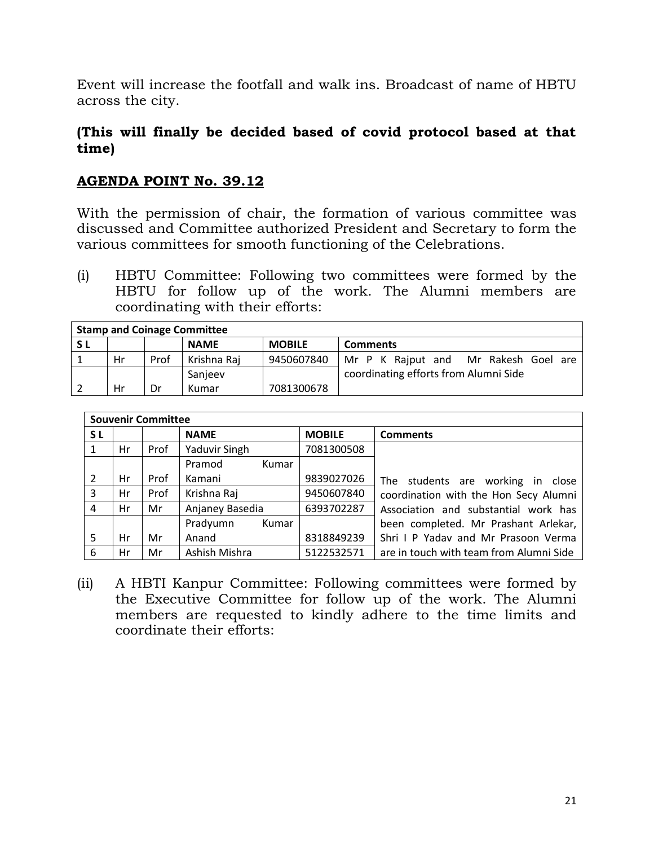Event will increase the footfall and walk ins. Broadcast of name of HBTU across the city.

#### **(This will finally be decided based of covid protocol based at that time)**

#### **AGENDA POINT No. 39.12**

With the permission of chair, the formation of various committee was discussed and Committee authorized President and Secretary to form the various committees for smooth functioning of the Celebrations.

(i) HBTU Committee: Following two committees were formed by the HBTU for follow up of the work. The Alumni members are coordinating with their efforts:

| <b>Stamp and Coinage Committee</b> |    |      |             |               |                                       |  |  |  |  |  |
|------------------------------------|----|------|-------------|---------------|---------------------------------------|--|--|--|--|--|
| <b>SL</b>                          |    |      | <b>NAME</b> | <b>MOBILE</b> | <b>Comments</b>                       |  |  |  |  |  |
|                                    | Hr | Prof | Krishna Raj | 9450607840    | Mr P K Rajput and Mr Rakesh Goel are  |  |  |  |  |  |
|                                    |    |      | Sanieev     |               | coordinating efforts from Alumni Side |  |  |  |  |  |
|                                    | Hr | Dr   | Kumar       | 7081300678    |                                       |  |  |  |  |  |

|     |    | <b>Souvenir Committee</b> |                   |               |                                         |
|-----|----|---------------------------|-------------------|---------------|-----------------------------------------|
| S L |    |                           | <b>NAME</b>       | <b>MOBILE</b> | <b>Comments</b>                         |
|     | Hr | Prof                      | Yaduvir Singh     | 7081300508    |                                         |
|     |    |                           | Pramod<br>Kumar   |               |                                         |
| 2   | Hr | Prof                      | Kamani            | 9839027026    | students are working in close<br>The    |
| 3   | Hr | Prof                      | Krishna Raj       | 9450607840    | coordination with the Hon Secy Alumni   |
| 4   | Hr | Mr                        | Anjaney Basedia   | 6393702287    | Association and substantial work has    |
|     |    |                           | Pradyumn<br>Kumar |               | been completed. Mr Prashant Arlekar,    |
| 5   | Hr | Mr                        | Anand             | 8318849239    | Shri I P Yaday and Mr Prasoon Verma     |
| 6   | Hr | Mr                        | Ashish Mishra     | 5122532571    | are in touch with team from Alumni Side |

(ii) A HBTI Kanpur Committee: Following committees were formed by the Executive Committee for follow up of the work. The Alumni members are requested to kindly adhere to the time limits and coordinate their efforts: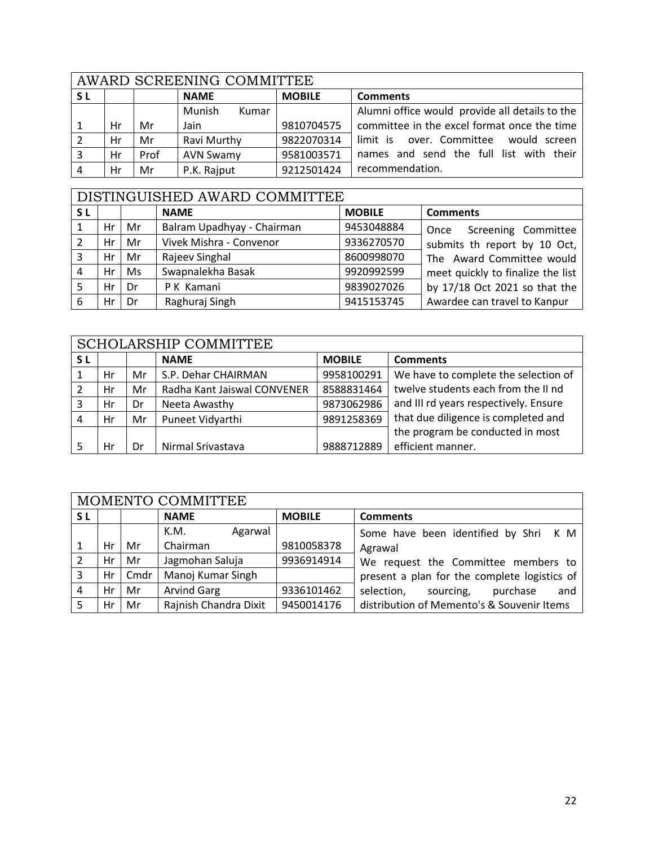|     | AWARD SCREENING COMMITTEE |      |                        |               |                                                |  |  |  |  |
|-----|---------------------------|------|------------------------|---------------|------------------------------------------------|--|--|--|--|
| S L |                           |      | <b>NAME</b>            | <b>MOBILE</b> | <b>Comments</b>                                |  |  |  |  |
|     |                           |      | <b>Munish</b><br>Kumar |               | Alumni office would provide all details to the |  |  |  |  |
|     | Hr                        | Mr   | Jain                   | 9810704575    | committee in the excel format once the time    |  |  |  |  |
|     | Hr                        | Mr   | Ravi Murthy            | 9822070314    | limit is over. Committee<br>would screen       |  |  |  |  |
|     | Hr                        | Prof | <b>AVN Swamy</b>       | 9581003571    | names and send the full list with their        |  |  |  |  |
|     | Hr                        | Mr   | P.K. Rajput            | 9212501424    | recommendation.                                |  |  |  |  |

## DISTINGUISHED AWARD COMMITTEE

| <b>SL</b> |                 |      | <b>NAME</b>                | <b>MOBILE</b> | <b>Comments</b>                   |
|-----------|-----------------|------|----------------------------|---------------|-----------------------------------|
|           | Hr              | Mr   | Balram Upadhyay - Chairman | 9453048884    | Screening Committee<br>Once       |
|           | Hr              | Mr   | Vivek Mishra - Convenor    | 9336270570    | submits th report by 10 Oct,      |
| 3         | Hr              | Mr   | Rajeev Singhal             | 8600998070    | The Award Committee would         |
| 4         | Hr <sub>1</sub> | Ms   | Swapnalekha Basak          | 9920992599    | meet quickly to finalize the list |
|           | Hr <sub>1</sub> | l Dr | P K Kamani                 | 9839027026    | by 17/18 Oct 2021 so that the     |
| 6         | Hr              | l Dr | Raghuraj Singh             | 9415153745    | Awardee can travel to Kanpur      |

|     | <b>SCHOLARSHIP COMMITTEE</b> |    |                             |                 |                                       |  |  |  |  |
|-----|------------------------------|----|-----------------------------|-----------------|---------------------------------------|--|--|--|--|
| S L |                              |    | <b>NAME</b>                 | <b>Comments</b> |                                       |  |  |  |  |
|     | Hr                           | Mr | S.P. Dehar CHAIRMAN         | 9958100291      | We have to complete the selection of  |  |  |  |  |
|     | Hr                           | Mr | Radha Kant Jaiswal CONVENER | 8588831464      | twelve students each from the II nd   |  |  |  |  |
|     | Hr                           | Dr | Neeta Awasthy               | 9873062986      | and III rd years respectively. Ensure |  |  |  |  |
|     | Hr                           | Mr | Puneet Vidyarthi            | 9891258369      | that due diligence is completed and   |  |  |  |  |
|     |                              |    |                             |                 | the program be conducted in most      |  |  |  |  |
|     | Hr                           | Dr | Nirmal Srivastava           | 9888712889      | efficient manner.                     |  |  |  |  |

|           | MOMENTO COMMITTEE |      |                       |               |                                              |  |  |  |  |  |
|-----------|-------------------|------|-----------------------|---------------|----------------------------------------------|--|--|--|--|--|
| <b>SL</b> |                   |      | <b>NAME</b>           | <b>MOBILE</b> | <b>Comments</b>                              |  |  |  |  |  |
|           |                   |      | K.M.<br>Agarwal       |               | Some have been identified by Shri K M        |  |  |  |  |  |
|           | Hr                | Mr   | Chairman              | 9810058378    | Agrawal                                      |  |  |  |  |  |
| 2         | $Hr$              | Mr   | Jagmohan Saluja       | 9936914914    | We request the Committee members to          |  |  |  |  |  |
| 3         | Hr                | Cmdr | Manoj Kumar Singh     |               | present a plan for the complete logistics of |  |  |  |  |  |
| 4         | $Hr$ l            | Mr   | <b>Arvind Garg</b>    | 9336101462    | selection,<br>sourcing,<br>purchase<br>and   |  |  |  |  |  |
|           | Hr                | Mr   | Rajnish Chandra Dixit | 9450014176    | distribution of Memento's & Souvenir Items   |  |  |  |  |  |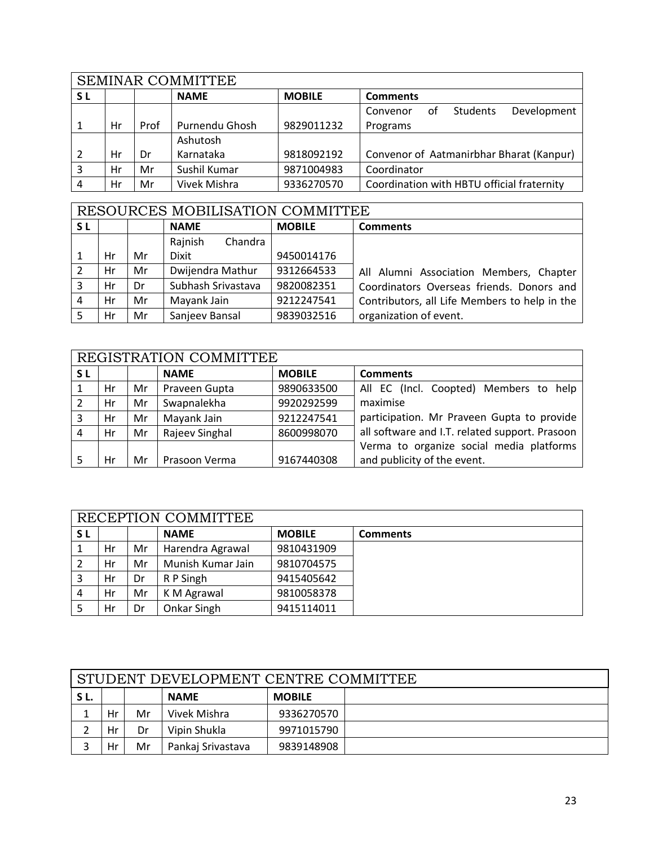|     | <b>SEMINAR COMMITTEE</b> |      |                |               |                                            |  |  |  |
|-----|--------------------------|------|----------------|---------------|--------------------------------------------|--|--|--|
| S L |                          |      | <b>NAME</b>    | <b>MOBILE</b> | <b>Comments</b>                            |  |  |  |
|     |                          |      |                |               | Development<br>Students<br>Convenor<br>оf  |  |  |  |
|     | Hr                       | Prof | Purnendu Ghosh | 9829011232    | Programs                                   |  |  |  |
|     |                          |      | Ashutosh       |               |                                            |  |  |  |
|     | Hr                       | Dr   | Karnataka      | 9818092192    | Convenor of Aatmanirbhar Bharat (Kanpur)   |  |  |  |
| 3   | Hr                       | Mr   | Sushil Kumar   | 9871004983    | Coordinator                                |  |  |  |
| 4   | Hr                       | Mr   | Vivek Mishra   | 9336270570    | Coordination with HBTU official fraternity |  |  |  |

|           | RESOURCES MOBILISATION COMMITTEE |    |                    |               |                                               |  |  |  |  |  |
|-----------|----------------------------------|----|--------------------|---------------|-----------------------------------------------|--|--|--|--|--|
| <b>SL</b> |                                  |    | <b>NAME</b>        | <b>MOBILE</b> | <b>Comments</b>                               |  |  |  |  |  |
|           |                                  |    | Chandra<br>Rajnish |               |                                               |  |  |  |  |  |
|           | Hr                               | Mr | Dixit              | 9450014176    |                                               |  |  |  |  |  |
|           | Hr                               | Mr | Dwijendra Mathur   | 9312664533    | All Alumni Association Members, Chapter       |  |  |  |  |  |
| 3         | Hr                               | Dr | Subhash Srivastava | 9820082351    | Coordinators Overseas friends. Donors and     |  |  |  |  |  |
| 4         | Hr                               | Mr | Mayank Jain        | 9212247541    | Contributors, all Life Members to help in the |  |  |  |  |  |
|           | Hr                               | Mr | Sanjeev Bansal     | 9839032516    | organization of event.                        |  |  |  |  |  |

|           | REGISTRATION COMMITTEE |    |                |               |                                                |
|-----------|------------------------|----|----------------|---------------|------------------------------------------------|
| <b>SL</b> |                        |    | <b>NAME</b>    | <b>MOBILE</b> | <b>Comments</b>                                |
|           | Hr                     | Mr | Praveen Gupta  | 9890633500    | All EC (Incl. Coopted) Members to help         |
| 2         | Hr                     | Mr | Swapnalekha    | 9920292599    | maximise                                       |
| 3         | Hr                     | Mr | Mayank Jain    | 9212247541    | participation. Mr Praveen Gupta to provide     |
| 4         | Hr                     | Mr | Rajeev Singhal | 8600998070    | all software and I.T. related support. Prasoon |
|           |                        |    |                |               | Verma to organize social media platforms       |
|           | Hr                     | Mr | Prasoon Verma  | 9167440308    | and publicity of the event.                    |

|    | RECEPTION COMMITTEE |    |                   |               |                 |  |  |  |  |
|----|---------------------|----|-------------------|---------------|-----------------|--|--|--|--|
| SΓ |                     |    | <b>NAME</b>       | <b>MOBILE</b> | <b>Comments</b> |  |  |  |  |
|    | Hr                  | Mr | Harendra Agrawal  | 9810431909    |                 |  |  |  |  |
|    | Hr                  | Mr | Munish Kumar Jain | 9810704575    |                 |  |  |  |  |
|    | Hr                  | Dr | R P Singh         | 9415405642    |                 |  |  |  |  |
|    | Hr                  | Mr | K M Agrawal       | 9810058378    |                 |  |  |  |  |
|    | Hr                  | Dr | Onkar Singh       | 9415114011    |                 |  |  |  |  |

|                                     | STUDENT DEVELOPMENT CENTRE COMMITTEE   |    |                   |            |  |  |  |  |
|-------------------------------------|----------------------------------------|----|-------------------|------------|--|--|--|--|
| SL.<br><b>NAME</b><br><b>MOBILE</b> |                                        |    |                   |            |  |  |  |  |
|                                     | Hr                                     | Mr | Vivek Mishra      | 9336270570 |  |  |  |  |
|                                     | Vipin Shukla<br>9971015790<br>Hr<br>Dr |    |                   |            |  |  |  |  |
|                                     | Hr                                     | Mr | Pankaj Srivastava | 9839148908 |  |  |  |  |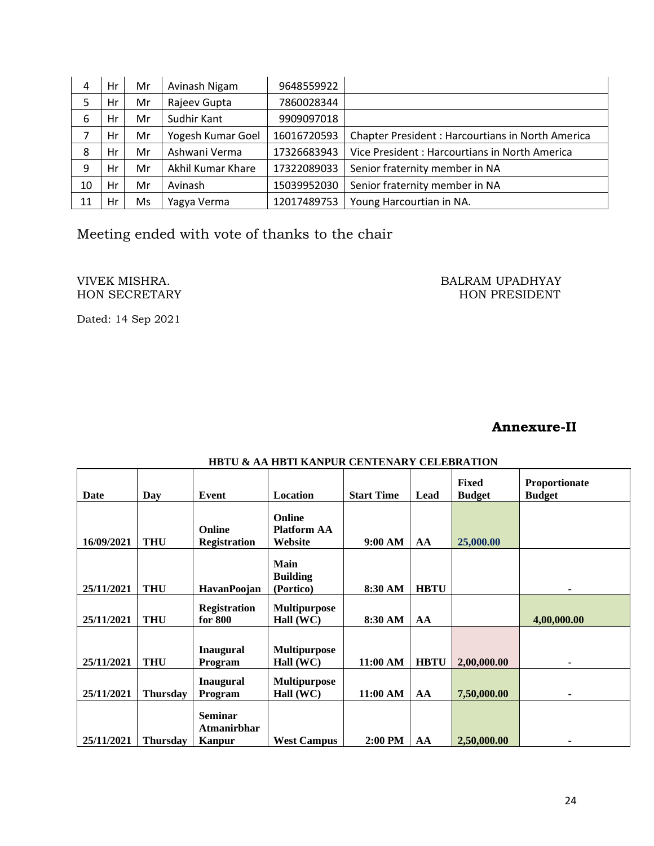| 4  | Hr | Mr | Avinash Nigam     | 9648559922  |                                                         |
|----|----|----|-------------------|-------------|---------------------------------------------------------|
| 5  | Hr | Mr | Rajeev Gupta      | 7860028344  |                                                         |
| 6  | Hr | Mr | Sudhir Kant       | 9909097018  |                                                         |
|    | Hr | Mr | Yogesh Kumar Goel | 16016720593 | <b>Chapter President: Harcourtians in North America</b> |
| 8  | Hr | Mr | Ashwani Verma     | 17326683943 | Vice President: Harcourtians in North America           |
| 9  | Hr | Mr | Akhil Kumar Khare | 17322089033 | Senior fraternity member in NA                          |
| 10 | Hr | Mr | Avinash           | 15039952030 | Senior fraternity member in NA                          |
| 11 | Hr | Ms | Yagya Verma       | 12017489753 | Young Harcourtian in NA.                                |

Meeting ended with vote of thanks to the chair

## HON SECRETARY

VIVEK MISHRA. BALRAM UPADHYAY

Dated: 14 Sep 2021

#### **Annexure-II**

| Date       | Day             | Event                                                 | Location                                       | <b>Start Time</b> | Lead        | <b>Fixed</b><br><b>Budget</b> | <b>Proportionate</b><br><b>Budget</b> |
|------------|-----------------|-------------------------------------------------------|------------------------------------------------|-------------------|-------------|-------------------------------|---------------------------------------|
| 16/09/2021 | <b>THU</b>      | Online<br><b>Registration</b>                         | <b>Online</b><br><b>Platform AA</b><br>Website | 9:00 AM           | AA          | 25,000.00                     |                                       |
| 25/11/2021 | <b>THU</b>      | HavanPoojan                                           | Main<br><b>Building</b><br>(Portico)           | 8:30 AM           | <b>HBTU</b> |                               | ۰                                     |
| 25/11/2021 | <b>THU</b>      | <b>Registration</b><br>for 800                        | <b>Multipurpose</b><br>Hall (WC)               | 8:30 AM           | AA          |                               | 4,00,000.00                           |
| 25/11/2021 | <b>THU</b>      | <b>Inaugural</b><br>Program                           | <b>Multipurpose</b><br>Hall (WC)               | 11:00 AM          | <b>HBTU</b> | 2,00,000.00                   | ۰                                     |
| 25/11/2021 | <b>Thursday</b> | <b>Inaugural</b><br>Program                           | <b>Multipurpose</b><br>Hall (WC)               | 11:00 AM          | AA          | 7,50,000.00                   | ۰                                     |
| 25/11/2021 | <b>Thursday</b> | <b>Seminar</b><br><b>Atmanirbhar</b><br><b>Kanpur</b> | <b>West Campus</b>                             | 2:00 PM           | AA          | 2,50,000.00                   | ۰                                     |

#### **HBTU & AA HBTI KANPUR CENTENARY CELEBRATION**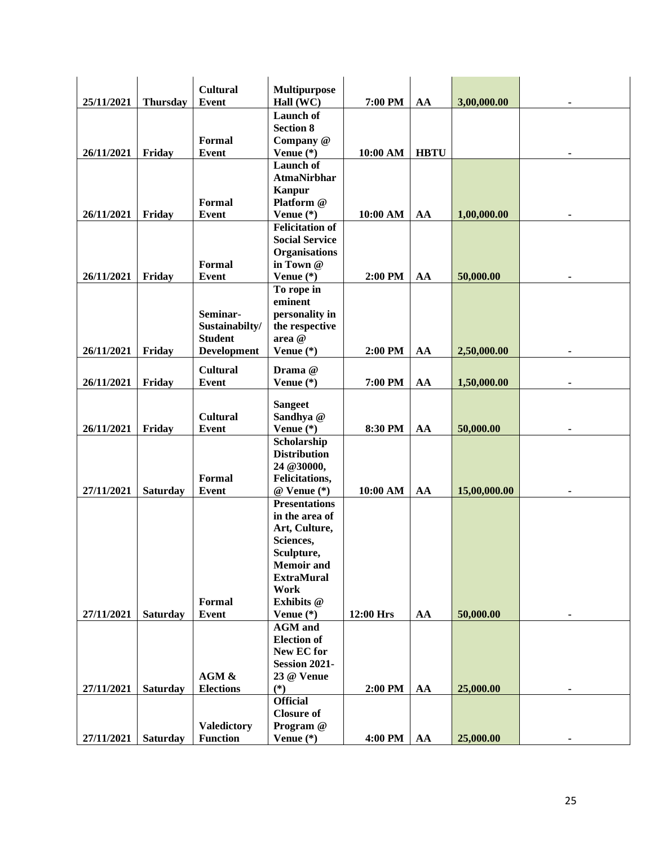|            |                 | <b>Cultural</b>    | <b>Multipurpose</b>          |           |             |              |                |
|------------|-----------------|--------------------|------------------------------|-----------|-------------|--------------|----------------|
| 25/11/2021 | <b>Thursday</b> | <b>Event</b>       | Hall (WC)                    | 7:00 PM   | AA          | 3,00,000.00  |                |
|            |                 |                    | Launch of                    |           |             |              |                |
|            |                 |                    | <b>Section 8</b>             |           |             |              |                |
|            |                 | <b>Formal</b>      | Company @                    |           |             |              |                |
| 26/11/2021 | Friday          | <b>Event</b>       | Venue $(*)$                  | 10:00 AM  | <b>HBTU</b> |              |                |
|            |                 |                    | <b>Launch</b> of             |           |             |              |                |
|            |                 |                    | <b>AtmaNirbhar</b>           |           |             |              |                |
|            |                 |                    | Kanpur                       |           |             |              |                |
|            |                 | <b>Formal</b>      | Platform @                   |           |             |              |                |
| 26/11/2021 | Friday          | <b>Event</b>       | Venue $(*)$                  | 10:00 AM  | AA          | 1,00,000.00  |                |
|            |                 |                    | <b>Felicitation of</b>       |           |             |              |                |
|            |                 |                    | <b>Social Service</b>        |           |             |              |                |
|            |                 |                    | <b>Organisations</b>         |           |             |              |                |
|            |                 | <b>Formal</b>      | in Town @                    |           |             |              |                |
| 26/11/2021 | Friday          | <b>Event</b>       | Venue $(*)$                  | 2:00 PM   | AA          | 50,000.00    |                |
|            |                 |                    | To rope in<br>eminent        |           |             |              |                |
|            |                 | Seminar-           | personality in               |           |             |              |                |
|            |                 | Sustainabilty/     |                              |           |             |              |                |
|            |                 | <b>Student</b>     | the respective<br>area @     |           |             |              |                |
| 26/11/2021 | Friday          | <b>Development</b> | Venue $(*)$                  | 2:00 PM   | AA          | 2,50,000.00  |                |
|            |                 |                    |                              |           |             |              |                |
|            |                 | <b>Cultural</b>    | Drama @                      |           |             |              |                |
| 26/11/2021 | Friday          | <b>Event</b>       | Venue $(*)$                  | 7:00 PM   | AA          | 1,50,000.00  |                |
|            |                 |                    |                              |           |             |              |                |
|            |                 |                    | <b>Sangeet</b>               |           |             |              |                |
|            |                 | <b>Cultural</b>    | Sandhya @                    |           |             |              |                |
| 26/11/2021 | Friday          | <b>Event</b>       | Venue $(*)$                  | 8:30 PM   | AA          | 50,000.00    |                |
|            |                 |                    | Scholarship                  |           |             |              |                |
|            |                 |                    | <b>Distribution</b>          |           |             |              |                |
|            |                 | Formal             | 24 @30000,<br>Felicitations, |           |             |              |                |
| 27/11/2021 | <b>Saturday</b> | <b>Event</b>       | $@$ Venue $(*)$              | 10:00 AM  | AA          | 15,00,000.00 | $\blacksquare$ |
|            |                 |                    | <b>Presentations</b>         |           |             |              |                |
|            |                 |                    | in the area of               |           |             |              |                |
|            |                 |                    | Art, Culture,                |           |             |              |                |
|            |                 |                    | Sciences,                    |           |             |              |                |
|            |                 |                    | Sculpture,                   |           |             |              |                |
|            |                 |                    | <b>Memoir</b> and            |           |             |              |                |
|            |                 |                    | <b>ExtraMural</b>            |           |             |              |                |
|            |                 |                    | Work                         |           |             |              |                |
|            |                 | <b>Formal</b>      | Exhibits @                   |           |             |              |                |
| 27/11/2021 | <b>Saturday</b> | <b>Event</b>       | Venue $(*)$                  | 12:00 Hrs | AA          | 50,000.00    | ٠              |
|            |                 |                    | <b>AGM</b> and               |           |             |              |                |
|            |                 |                    | <b>Election of</b>           |           |             |              |                |
|            |                 |                    | New EC for                   |           |             |              |                |
|            |                 |                    | Session 2021-                |           |             |              |                |
|            |                 | AGM &              | 23 @ Venue                   |           |             |              |                |
| 27/11/2021 | <b>Saturday</b> | <b>Elections</b>   | $(*)$                        | 2:00 PM   | AA          | 25,000.00    | $\blacksquare$ |
|            |                 |                    | <b>Official</b>              |           |             |              |                |
|            |                 |                    | <b>Closure of</b>            |           |             |              |                |
|            |                 | <b>Valedictory</b> | Program @                    |           |             |              |                |
| 27/11/2021 | <b>Saturday</b> | <b>Function</b>    | Venue $(*)$                  | 4:00 PM   | AA          | 25,000.00    |                |